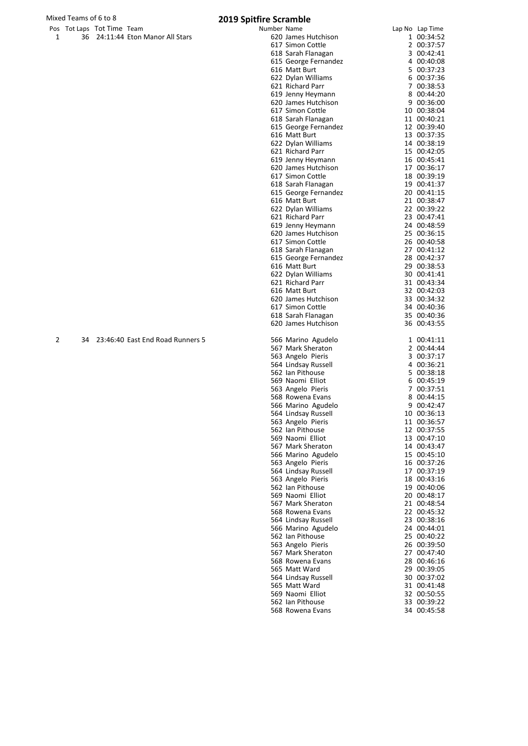## Mixed Teams of 6 to 8 **2019 S**

| . | $18.28$ $18.28$ $10.112$ $18.31$ |                                  |
|---|----------------------------------|----------------------------------|
|   |                                  | 36 24:11:44 Eton Manor All Stars |

|              | Mixed Teams of 6 to 8      |                                     | 2019 Spitfire Scramble                    |                            |
|--------------|----------------------------|-------------------------------------|-------------------------------------------|----------------------------|
|              | Pos Tot Laps Tot Time Team |                                     | Number Name                               | Lap No Lap Time            |
| $\mathbf{1}$ |                            | 36 24:11:44 Eton Manor All Stars    | 620 James Hutchison                       | 1 00:34:52                 |
|              |                            |                                     | 617 Simon Cottle                          | 2 00:37:57                 |
|              |                            |                                     | 618 Sarah Flanagan                        | 3 00:42:41                 |
|              |                            |                                     | 615 George Fernandez                      | 4 00:40:08                 |
|              |                            |                                     | 616 Matt Burt                             | 5 00:37:23                 |
|              |                            |                                     | 622 Dylan Williams                        | 6 00:37:36                 |
|              |                            |                                     | 621 Richard Parr                          | 7 00:38:53                 |
|              |                            |                                     | 619 Jenny Heymann                         | 8 00:44:20                 |
|              |                            |                                     | 620 James Hutchison                       | 9 00:36:00                 |
|              |                            |                                     | 617 Simon Cottle                          | 10 00:38:04                |
|              |                            |                                     | 618 Sarah Flanagan                        | 11 00:40:21                |
|              |                            |                                     | 615 George Fernandez                      | 12 00:39:40                |
|              |                            |                                     | 616 Matt Burt                             | 13 00:37:35                |
|              |                            |                                     | 622 Dylan Williams                        | 14 00:38:19                |
|              |                            |                                     | 621 Richard Parr                          | 15 00:42:05                |
|              |                            |                                     | 619 Jenny Heymann                         | 16 00:45:41                |
|              |                            |                                     | 620 James Hutchison                       | 17 00:36:17                |
|              |                            |                                     | 617 Simon Cottle                          | 18 00:39:19                |
|              |                            |                                     | 618 Sarah Flanagan                        | 19 00:41:37                |
|              |                            |                                     | 615 George Fernandez                      | 20 00:41:15                |
|              |                            |                                     | 616 Matt Burt                             | 21 00:38:47                |
|              |                            |                                     | 622 Dylan Williams                        | 22 00:39:22                |
|              |                            |                                     | 621 Richard Parr                          | 23 00:47:41                |
|              |                            |                                     | 619 Jenny Heymann                         | 24 00:48:59                |
|              |                            |                                     | 620 James Hutchison                       | 25 00:36:15                |
|              |                            |                                     | 617 Simon Cottle                          | 26 00:40:58                |
|              |                            |                                     | 618 Sarah Flanagan                        | 27 00:41:12                |
|              |                            |                                     | 615 George Fernandez                      | 28 00:42:37                |
|              |                            |                                     | 616 Matt Burt                             | 29 00:38:53                |
|              |                            |                                     | 622 Dylan Williams                        | 30 00:41:41                |
|              |                            |                                     | 621 Richard Parr                          | 31 00:43:34                |
|              |                            |                                     | 616 Matt Burt<br>620 James Hutchison      | 32 00:42:03<br>33 00:34:32 |
|              |                            |                                     | 617 Simon Cottle                          | 34 00:40:36                |
|              |                            |                                     |                                           | 35 00:40:36                |
|              |                            |                                     | 618 Sarah Flanagan<br>620 James Hutchison | 36 00:43:55                |
|              |                            |                                     |                                           |                            |
| 2            |                            | 34 23:46:40 East End Road Runners 5 | 566 Marino Agudelo                        | 1 00:41:11                 |
|              |                            |                                     | 567 Mark Sheraton                         | 2 00:44:44                 |
|              |                            |                                     | 563 Angelo Pieris                         | 3 00:37:17                 |
|              |                            |                                     | 564 Lindsay Russell                       | 4 00:36:21                 |
|              |                            |                                     | 562 Ian Pithouse                          | 5 00:38:18                 |
|              |                            |                                     | 569 Naomi Elliot                          | 6 00:45:19                 |
|              |                            |                                     | 563 Angelo Pieris                         | 7 00:37:51                 |
|              |                            |                                     | 568 Rowena Evans                          | 8 00:44:15                 |
|              |                            |                                     | 566 Marino Agudelo                        | 9 00:42:47                 |

566 Marino Agudelo 9 00:42:47<br>564 Lindsay Russell 10 00:36:13 Lindsay Russell 10 00:36:13 Angelo Pieris 11 00:36:57 Ian Pithouse 12 00:37:55 569 Naomi Elliot 13 00:47:10<br>567 Mark Sheraton 14 00:43:47 567 Mark Sheraton 14 00:43:47<br>566 Marino Agudelo 15 00:45:10 566 Marino Agudelo 15 00:45:10<br>563 Angelo Pieris 16 00:37:26 563 Angelo Pieris 16 00:37:26<br>564 Lindsay Russell 17 00:37:19 564 Lindsay Russell 17 00:37:19<br>563 Angelo Pieris 18 00:43:16 563 Angelo Pieris 18 00:43:16<br>562 Ian Pithouse 19 00:40:06 Ian Pithouse 19 00:40:06 Naomi Elliot 20 00:48:17 Mark Sheraton 21 00:48:54 Rowena Evans 22 00:45:32 Lindsay Russell 23 00:38:16 Marino Agudelo 24 00:44:01 Ian Pithouse 25 00:40:22 Angelo Pieris 26 00:39:50 Mark Sheraton 27 00:47:40 Rowena Evans 28 00:46:16 Matt Ward 29 00:39:05 Lindsay Russell 30 00:37:02 565 Matt Ward 31 00:41:48<br>569 Naomi Elliot 32 00:50:55 Naomi Elliot 32 00:50:55 Ian Pithouse 33 00:39:22

568 Rowena Evans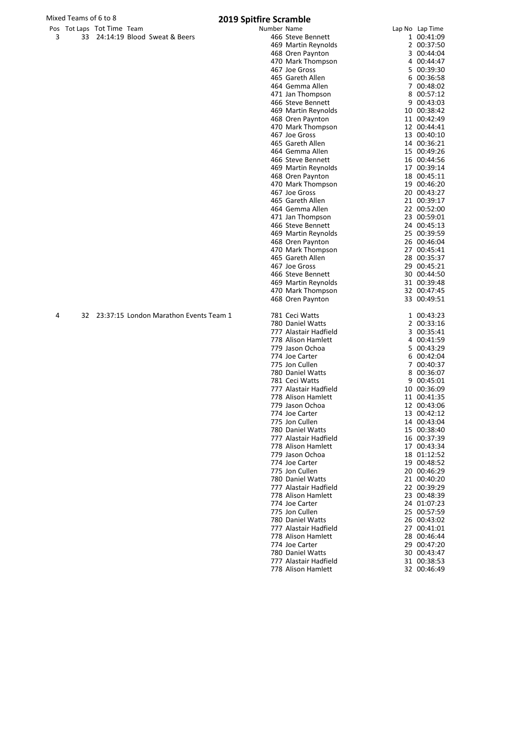|     | ros roccaps rocinne reann |                                 |
|-----|---------------------------|---------------------------------|
| - 3 |                           | 33 24:14:19 Blood Sweat & Beers |

|   |    | Pos Tot Laps Tot Time Team |                                           | Number Name |                       | Lap No Lap Time |
|---|----|----------------------------|-------------------------------------------|-------------|-----------------------|-----------------|
| 3 | 33 |                            | 24:14:19 Blood Sweat & Beers              |             | 466 Steve Bennett     | 1 00:41:09      |
|   |    |                            |                                           |             | 469 Martin Reynolds   | 2 00:37:50      |
|   |    |                            |                                           |             | 468 Oren Paynton      | 3 00:44:04      |
|   |    |                            |                                           |             | 470 Mark Thompson     | 4 00:44:47      |
|   |    |                            |                                           |             | 467 Joe Gross         | 5 00:39:30      |
|   |    |                            |                                           |             | 465 Gareth Allen      | 6 00:36:58      |
|   |    |                            |                                           |             | 464 Gemma Allen       | 7 00:48:02      |
|   |    |                            |                                           |             | 471 Jan Thompson      | 8 00:57:12      |
|   |    |                            |                                           |             | 466 Steve Bennett     | 9 00:43:03      |
|   |    |                            |                                           |             | 469 Martin Reynolds   | 10 00:38:42     |
|   |    |                            |                                           |             | 468 Oren Paynton      | 11 00:42:49     |
|   |    |                            |                                           |             | 470 Mark Thompson     | 12 00:44:41     |
|   |    |                            |                                           |             | 467 Joe Gross         | 13 00:40:10     |
|   |    |                            |                                           |             | 465 Gareth Allen      | 14 00:36:21     |
|   |    |                            |                                           |             | 464 Gemma Allen       | 15 00:49:26     |
|   |    |                            |                                           |             | 466 Steve Bennett     | 16 00:44:56     |
|   |    |                            |                                           |             | 469 Martin Reynolds   | 17 00:39:14     |
|   |    |                            |                                           |             | 468 Oren Paynton      | 18 00:45:11     |
|   |    |                            |                                           |             | 470 Mark Thompson     | 19 00:46:20     |
|   |    |                            |                                           |             | 467 Joe Gross         | 20 00:43:27     |
|   |    |                            |                                           |             | 465 Gareth Allen      | 21 00:39:17     |
|   |    |                            |                                           |             | 464 Gemma Allen       | 22 00:52:00     |
|   |    |                            |                                           |             | 471 Jan Thompson      | 23 00:59:01     |
|   |    |                            |                                           |             | 466 Steve Bennett     | 24 00:45:13     |
|   |    |                            |                                           |             | 469 Martin Reynolds   | 25 00:39:59     |
|   |    |                            |                                           |             | 468 Oren Paynton      | 26 00:46:04     |
|   |    |                            |                                           |             | 470 Mark Thompson     | 27 00:45:41     |
|   |    |                            |                                           |             | 465 Gareth Allen      | 28 00:35:37     |
|   |    |                            |                                           |             | 467 Joe Gross         | 29 00:45:21     |
|   |    |                            |                                           |             | 466 Steve Bennett     | 30 00:44:50     |
|   |    |                            |                                           |             | 469 Martin Reynolds   | 31 00:39:48     |
|   |    |                            |                                           |             | 470 Mark Thompson     | 32 00:47:45     |
|   |    |                            |                                           |             | 468 Oren Paynton      | 33 00:49:51     |
| 4 |    |                            | 32 23:37:15 London Marathon Events Team 1 |             | 781 Ceci Watts        | 1 00:43:23      |
|   |    |                            |                                           |             | 780 Daniel Watts      | 2 00:33:16      |
|   |    |                            |                                           |             | 777 Alastair Hadfield | 3 00:35:41      |
|   |    |                            |                                           |             | 778 Alison Hamlett    | 4 00:41:59      |
|   |    |                            |                                           |             | 779 Jason Ochoa       | 5 00:43:29      |
|   |    |                            |                                           |             | 774 Joe Carter        | 6 00:42:04      |
|   |    |                            |                                           |             | 775 Jon Cullen        | 7 00:40:37      |
|   |    |                            |                                           |             | 780 Daniel Watts      | 8 00:36:07      |
|   |    |                            |                                           |             | 781 Ceci Watts        | 9 00:45:01      |
|   |    |                            |                                           |             | 777 Alastair Hadfield | 10 00:36:09     |
|   |    |                            |                                           |             | 778 Alison Hamlett    | 11 00:41:35     |
|   |    |                            |                                           |             | 779 Jason Ochoa       | 12 00:43:06     |
|   |    |                            |                                           |             | 774 Joe Carter        | 13 00:42:12     |
|   |    |                            |                                           |             | 775 Jon Cullen        | 14 00:43:04     |
|   |    |                            |                                           |             | 780 Daniel Watts      | 15 00:38:40     |
|   |    |                            |                                           |             | 777 Alastair Hadfield | 16 00:37:39     |
|   |    |                            |                                           |             | 778 Alison Hamlett    | 17 00:43:34     |
|   |    |                            |                                           |             | 779 Jason Ochoa       | 18 01:12:52     |
|   |    |                            |                                           |             | 774 Joe Carter        | 19 00:48:52     |
|   |    |                            |                                           |             | 775 Jon Cullen        | 20 00:46:29     |
|   |    |                            |                                           |             | 780 Daniel Watts      | 21 00:40:20     |
|   |    |                            |                                           |             | 777 Alastair Hadfield | 22 00:39:29     |
|   |    |                            |                                           |             | 778 Alison Hamlett    | 23 00:48:39     |
|   |    |                            |                                           |             | 774 Joe Carter        | 24 01:07:23     |
|   |    |                            |                                           |             | 775 Jon Cullen        | 25 00:57:59     |
|   |    |                            |                                           |             | 780 Daniel Watts      |                 |
|   |    |                            |                                           |             | 777 Alastair Hadfield | 26 00:43:02     |
|   |    |                            |                                           |             |                       | 27 00:41:01     |
|   |    |                            |                                           |             | 778 Alison Hamlett    | 28 00:46:44     |
|   |    |                            |                                           |             | 774 Joe Carter        | 29 00:47:20     |
|   |    |                            |                                           |             | 780 Daniel Watts      | 30 00:43:47     |
|   |    |                            |                                           |             | 777 Alastair Hadfield | 31 00:38:53     |
|   |    |                            |                                           |             | 778 Alison Hamlett    | 32 00:46:49     |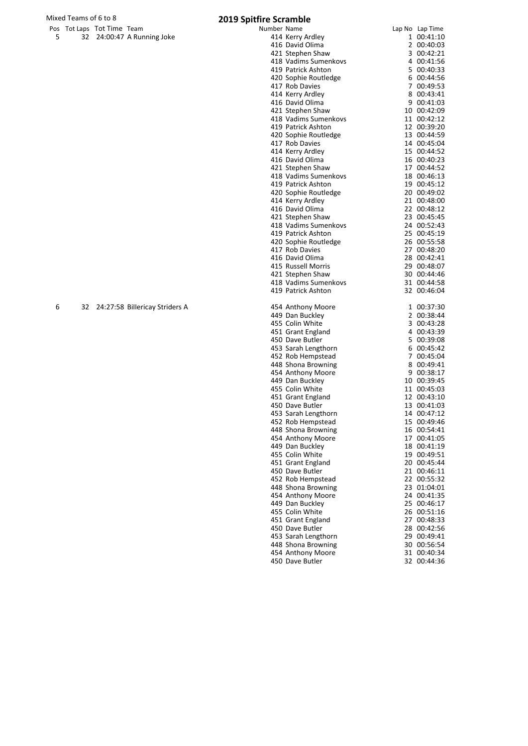# Mixed Teams of 6 to 8<br> **2019 Spitfire Scramble**<br> **Pos** Tot Lans Tot Time Team

|    | Pos fot Laps fot fime feam |                            |
|----|----------------------------|----------------------------|
| -5 |                            | 32 24:00:47 A Running Joke |

|   | os Tot Laps Tot Time Team |                                   | Number Name |                      | Lap No Lap Time |
|---|---------------------------|-----------------------------------|-------------|----------------------|-----------------|
| 5 |                           | 32 24:00:47 A Running Joke        |             | 414 Kerry Ardley     | 1 00:41:10      |
|   |                           |                                   |             | 416 David Olima      | 2 00:40:03      |
|   |                           |                                   |             | 421 Stephen Shaw     | 3 00:42:21      |
|   |                           |                                   |             | 418 Vadims Sumenkovs | 4 00:41:56      |
|   |                           |                                   |             | 419 Patrick Ashton   | 5 00:40:33      |
|   |                           |                                   |             |                      |                 |
|   |                           |                                   |             | 420 Sophie Routledge | 6 00:44:56      |
|   |                           |                                   |             | 417 Rob Davies       | 7 00:49:53      |
|   |                           |                                   |             | 414 Kerry Ardley     | 8 00:43:41      |
|   |                           |                                   |             | 416 David Olima      | 9 00:41:03      |
|   |                           |                                   |             | 421 Stephen Shaw     | 10 00:42:09     |
|   |                           |                                   |             | 418 Vadims Sumenkovs | 11 00:42:12     |
|   |                           |                                   |             | 419 Patrick Ashton   | 12 00:39:20     |
|   |                           |                                   |             | 420 Sophie Routledge | 13 00:44:59     |
|   |                           |                                   |             | 417 Rob Davies       | 14 00:45:04     |
|   |                           |                                   |             |                      |                 |
|   |                           |                                   |             | 414 Kerry Ardley     | 15 00:44:52     |
|   |                           |                                   |             | 416 David Olima      | 16 00:40:23     |
|   |                           |                                   |             | 421 Stephen Shaw     | 17 00:44:52     |
|   |                           |                                   |             | 418 Vadims Sumenkovs | 18 00:46:13     |
|   |                           |                                   |             | 419 Patrick Ashton   | 19 00:45:12     |
|   |                           |                                   |             | 420 Sophie Routledge | 20 00:49:02     |
|   |                           |                                   |             | 414 Kerry Ardley     | 21 00:48:00     |
|   |                           |                                   |             | 416 David Olima      | 22 00:48:12     |
|   |                           |                                   |             |                      |                 |
|   |                           |                                   |             | 421 Stephen Shaw     | 23 00:45:45     |
|   |                           |                                   |             | 418 Vadims Sumenkovs | 24 00:52:43     |
|   |                           |                                   |             | 419 Patrick Ashton   | 25 00:45:19     |
|   |                           |                                   |             | 420 Sophie Routledge | 26 00:55:58     |
|   |                           |                                   |             | 417 Rob Davies       | 27 00:48:20     |
|   |                           |                                   |             | 416 David Olima      | 28 00:42:41     |
|   |                           |                                   |             | 415 Russell Morris   | 29 00:48:07     |
|   |                           |                                   |             | 421 Stephen Shaw     | 30 00:44:46     |
|   |                           |                                   |             | 418 Vadims Sumenkovs | 31 00:44:58     |
|   |                           |                                   |             |                      |                 |
|   |                           |                                   |             | 419 Patrick Ashton   | 32 00:46:04     |
|   |                           |                                   |             |                      |                 |
| 6 |                           | 32 24:27:58 Billericay Striders A |             | 454 Anthony Moore    | 1 00:37:30      |
|   |                           |                                   |             | 449 Dan Buckley      | 2 00:38:44      |
|   |                           |                                   |             | 455 Colin White      | 3 00:43:28      |
|   |                           |                                   |             | 451 Grant England    | 4 00:43:39      |
|   |                           |                                   |             | 450 Dave Butler      | 5 00:39:08      |
|   |                           |                                   |             | 453 Sarah Lengthorn  | 6 00:45:42      |
|   |                           |                                   |             | 452 Rob Hempstead    | 7 00:45:04      |
|   |                           |                                   |             | 448 Shona Browning   | 8 00:49:41      |
|   |                           |                                   |             | 454 Anthony Moore    | 9 00:38:17      |
|   |                           |                                   |             |                      |                 |
|   |                           |                                   |             | 449 Dan Buckley      | 10 00:39:45     |
|   |                           |                                   |             | 455 Colin White      | 11 00:45:03     |
|   |                           |                                   |             | 451 Grant England    | 12 00:43:10     |
|   |                           |                                   |             | 450 Dave Butler      | 13 00:41:03     |
|   |                           |                                   |             | 453 Sarah Lengthorn  | 14 00:47:12     |
|   |                           |                                   |             | 452 Rob Hempstead    | 15 00:49:46     |
|   |                           |                                   |             | 448 Shona Browning   | 16 00:54:41     |
|   |                           |                                   |             | 454 Anthony Moore    | 17 00:41:05     |
|   |                           |                                   |             |                      |                 |
|   |                           |                                   |             | 449 Dan Buckley      | 18 00:41:19     |
|   |                           |                                   |             | 455 Colin White      | 19 00:49:51     |
|   |                           |                                   |             | 451 Grant England    | 20 00:45:44     |
|   |                           |                                   |             | 450 Dave Butler      | 21 00:46:11     |
|   |                           |                                   |             | 452 Rob Hempstead    | 22 00:55:32     |
|   |                           |                                   |             | 448 Shona Browning   | 23 01:04:01     |
|   |                           |                                   |             | 454 Anthony Moore    | 24 00:41:35     |
|   |                           |                                   |             | 449 Dan Buckley      | 25 00:46:17     |
|   |                           |                                   |             | 455 Colin White      |                 |
|   |                           |                                   |             |                      | 26 00:51:16     |
|   |                           |                                   |             | 451 Grant England    | 27 00:48:33     |
|   |                           |                                   |             | 450 Dave Butler      | 28 00:42:56     |
|   |                           |                                   |             | 453 Sarah Lengthorn  | 29 00:49:41     |
|   |                           |                                   |             | 448 Shona Browning   | 30 00:56:54     |
|   |                           |                                   |             | 454 Anthony Moore    | 31 00:40:34     |

Dave Butler 32 00:44:36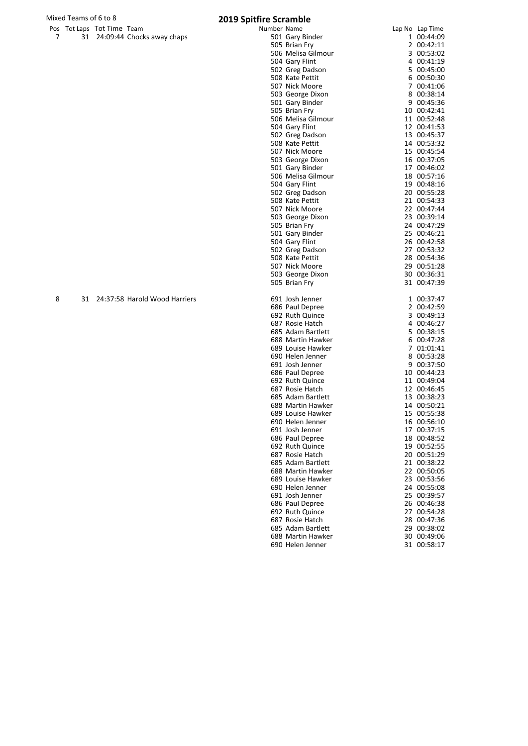|   | Pos Tot Laps Tot Time Team |                                  | Number Name |                    | Lap No Lap Time |
|---|----------------------------|----------------------------------|-------------|--------------------|-----------------|
| 7 |                            | 31 24:09:44 Chocks away chaps    |             | 501 Gary Binder    | 1 00:44:09      |
|   |                            |                                  |             | 505 Brian Fry      | 2 00:42:11      |
|   |                            |                                  |             | 506 Melisa Gilmour | 3 00:53:02      |
|   |                            |                                  |             | 504 Gary Flint     | 4 00:41:19      |
|   |                            |                                  |             | 502 Greg Dadson    | 5 00:45:00      |
|   |                            |                                  |             | 508 Kate Pettit    | 6 00:50:30      |
|   |                            |                                  |             | 507 Nick Moore     | 7 00:41:06      |
|   |                            |                                  |             | 503 George Dixon   | 8 00:38:14      |
|   |                            |                                  |             | 501 Gary Binder    | 9 00:45:36      |
|   |                            |                                  |             | 505 Brian Fry      | 10 00:42:41     |
|   |                            |                                  |             | 506 Melisa Gilmour | 11 00:52:48     |
|   |                            |                                  |             | 504 Gary Flint     | 12 00:41:53     |
|   |                            |                                  |             | 502 Greg Dadson    | 13 00:45:37     |
|   |                            |                                  |             | 508 Kate Pettit    | 14 00:53:32     |
|   |                            |                                  |             | 507 Nick Moore     | 15 00:45:54     |
|   |                            |                                  |             | 503 George Dixon   | 16 00:37:05     |
|   |                            |                                  |             | 501 Gary Binder    | 17 00:46:02     |
|   |                            |                                  |             | 506 Melisa Gilmour | 18 00:57:16     |
|   |                            |                                  |             | 504 Gary Flint     | 19 00:48:16     |
|   |                            |                                  |             | 502 Greg Dadson    | 20 00:55:28     |
|   |                            |                                  |             | 508 Kate Pettit    | 21 00:54:33     |
|   |                            |                                  |             | 507 Nick Moore     | 22 00:47:44     |
|   |                            |                                  |             | 503 George Dixon   | 23 00:39:14     |
|   |                            |                                  |             | 505 Brian Fry      | 24 00:47:29     |
|   |                            |                                  |             | 501 Gary Binder    | 25 00:46:21     |
|   |                            |                                  |             | 504 Gary Flint     | 26 00:42:58     |
|   |                            |                                  |             | 502 Greg Dadson    | 27 00:53:32     |
|   |                            |                                  |             | 508 Kate Pettit    | 28 00:54:36     |
|   |                            |                                  |             | 507 Nick Moore     | 29 00:51:28     |
|   |                            |                                  |             | 503 George Dixon   | 30 00:36:31     |
|   |                            |                                  |             | 505 Brian Fry      | 31 00:47:39     |
| 8 |                            | 31 24:37:58 Harold Wood Harriers |             | 691 Josh Jenner    | 1 00:37:47      |
|   |                            |                                  |             | 686 Paul Depree    | 2 00:42:59      |
|   |                            |                                  |             | 692 Ruth Quince    | 3 00:49:13      |
|   |                            |                                  |             | 687 Rosie Hatch    | 4 00:46:27      |
|   |                            |                                  |             | 685 Adam Bartlett  | 5 00:38:15      |
|   |                            |                                  |             | 688 Martin Hawker  | 6 00:47:28      |
|   |                            |                                  |             | 689 Louise Hawker  | 7 01:01:41      |
|   |                            |                                  |             | 690 Helen Jenner   | 8 00:53:28      |
|   |                            |                                  |             | 691 Josh Jenner    | 9 00:37:50      |
|   |                            |                                  |             | 686 Paul Depree    | 10 00:44:23     |
|   |                            |                                  |             | 692 Ruth Quince    | 11 00:49:04     |
|   |                            |                                  |             | 687 Rosie Hatch    | 12 00:46:45     |
|   |                            |                                  |             | 685 Adam Bartlett  | 13 00:38:23     |
|   |                            |                                  |             | 688 Martin Hawker  | 14 00:50:21     |
|   |                            |                                  |             | 689 Louise Hawker  | 15 00:55:38     |
|   |                            |                                  |             | 690 Helen Jenner   | 16 00:56:10     |
|   |                            |                                  |             | 691 Josh Jenner    | 17 00:37:15     |
|   |                            |                                  |             | 686 Paul Depree    | 18 00:48:52     |
|   |                            |                                  |             | 692 Ruth Quince    | 19 00:52:55     |
|   |                            |                                  |             | 687 Rosie Hatch    | 20 00:51:29     |
|   |                            |                                  |             | 685 Adam Bartlett  | 21 00:38:22     |
|   |                            |                                  |             | 688 Martin Hawker  | 22 00:50:05     |
|   |                            |                                  |             | 689 Louise Hawker  | 23 00:53:56     |
|   |                            |                                  |             | 690 Helen Jenner   | 24 00:55:08     |
|   |                            |                                  |             | 691 Josh Jenner    | 25 00:39:57     |
|   |                            |                                  |             | 686 Paul Depree    | 26 00:46:38     |
|   |                            |                                  |             | 692 Ruth Quince    | 27 00:54:28     |
|   |                            |                                  |             | 687 Rosie Hatch    | 28 00:47:36     |
|   |                            |                                  |             | 685 Adam Bartlett  | 29 00:38:02     |
|   |                            |                                  |             | 688 Martin Hawker  | 30 00:49:06     |
|   |                            |                                  |             | 690 Helen Jenner   | 31 00:58:17     |
|   |                            |                                  |             |                    |                 |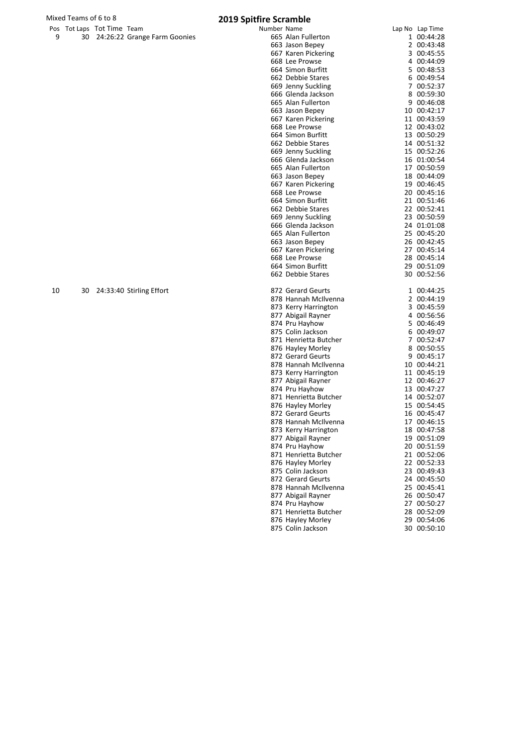|     | ros roccups rocinne reann |                                |
|-----|---------------------------|--------------------------------|
| - 9 |                           | 30 24:26:22 Grange Farm Goonie |

|    |    | Pos Tot Laps Tot Time Team |                                 | Number Name |                       | Lap No Lap Time |
|----|----|----------------------------|---------------------------------|-------------|-----------------------|-----------------|
| 9  |    |                            | 30 24:26:22 Grange Farm Goonies |             | 665 Alan Fullerton    | 1 00:44:28      |
|    |    |                            |                                 |             | 663 Jason Bepey       | 2 00:43:48      |
|    |    |                            |                                 |             | 667 Karen Pickering   | 3 00:45:55      |
|    |    |                            |                                 |             | 668 Lee Prowse        | 4 00:44:09      |
|    |    |                            |                                 |             | 664 Simon Burfitt     | 5 00:48:53      |
|    |    |                            |                                 |             | 662 Debbie Stares     | 6 00:49:54      |
|    |    |                            |                                 |             | 669 Jenny Suckling    | 7 00:52:37      |
|    |    |                            |                                 |             | 666 Glenda Jackson    | 8 00:59:30      |
|    |    |                            |                                 |             | 665 Alan Fullerton    | 9 00:46:08      |
|    |    |                            |                                 |             | 663 Jason Bepey       | 10 00:42:17     |
|    |    |                            |                                 |             | 667 Karen Pickering   | 11 00:43:59     |
|    |    |                            |                                 |             | 668 Lee Prowse        | 12 00:43:02     |
|    |    |                            |                                 |             | 664 Simon Burfitt     | 13 00:50:29     |
|    |    |                            |                                 |             | 662 Debbie Stares     | 14 00:51:32     |
|    |    |                            |                                 |             | 669 Jenny Suckling    | 15 00:52:26     |
|    |    |                            |                                 |             | 666 Glenda Jackson    | 16 01:00:54     |
|    |    |                            |                                 |             | 665 Alan Fullerton    | 17 00:50:59     |
|    |    |                            |                                 |             | 663 Jason Bepey       | 18 00:44:09     |
|    |    |                            |                                 |             | 667 Karen Pickering   | 19 00:46:45     |
|    |    |                            |                                 |             | 668 Lee Prowse        | 20 00:45:16     |
|    |    |                            |                                 |             | 664 Simon Burfitt     | 21 00:51:46     |
|    |    |                            |                                 |             | 662 Debbie Stares     | 22 00:52:41     |
|    |    |                            |                                 |             | 669 Jenny Suckling    | 23 00:50:59     |
|    |    |                            |                                 |             | 666 Glenda Jackson    | 24 01:01:08     |
|    |    |                            |                                 |             | 665 Alan Fullerton    | 25 00:45:20     |
|    |    |                            |                                 |             | 663 Jason Bepey       | 26 00:42:45     |
|    |    |                            |                                 |             | 667 Karen Pickering   | 27 00:45:14     |
|    |    |                            |                                 |             | 668 Lee Prowse        | 28 00:45:14     |
|    |    |                            |                                 |             | 664 Simon Burfitt     | 29 00:51:09     |
|    |    |                            |                                 |             | 662 Debbie Stares     | 30 00:52:56     |
| 10 | 30 |                            | 24:33:40 Stirling Effort        |             | 872 Gerard Geurts     | 1 00:44:25      |
|    |    |                            |                                 |             | 878 Hannah McIlvenna  | 2 00:44:19      |
|    |    |                            |                                 |             | 873 Kerry Harrington  | 3 00:45:59      |
|    |    |                            |                                 |             | 877 Abigail Rayner    | 4 00:56:56      |
|    |    |                            |                                 |             | 874 Pru Hayhow        | 5 00:46:49      |
|    |    |                            |                                 |             | 875 Colin Jackson     | 6 00:49:07      |
|    |    |                            |                                 |             | 871 Henrietta Butcher | 7 00:52:47      |
|    |    |                            |                                 |             | 876 Hayley Morley     | 8 00:50:55      |
|    |    |                            |                                 |             | 872 Gerard Geurts     | 9 00:45:17      |
|    |    |                            |                                 |             | 878 Hannah McIlvenna  | 10 00:44:21     |
|    |    |                            |                                 |             | 873 Kerry Harrington  | 11 00:45:19     |
|    |    |                            |                                 |             | 877 Abigail Rayner    | 12 00:46:27     |
|    |    |                            |                                 |             | 874 Pru Hayhow        | 13 00:47:27     |
|    |    |                            |                                 |             | 871 Henrietta Butcher | 14 00:52:07     |
|    |    |                            |                                 |             | 876 Hayley Morley     | 15 00:54:45     |
|    |    |                            |                                 |             | 872 Gerard Geurts     | 16 00:45:47     |
|    |    |                            |                                 |             | 878 Hannah McIlvenna  | 17 00:46:15     |
|    |    |                            |                                 |             | 873 Kerry Harrington  | 18 00:47:58     |
|    |    |                            |                                 |             | 877 Abigail Rayner    | 19 00:51:09     |
|    |    |                            |                                 |             | 874 Pru Hayhow        | 20 00:51:59     |
|    |    |                            |                                 |             | 871 Henrietta Butcher | 21 00:52:06     |
|    |    |                            |                                 |             | 876 Hayley Morley     | 22 00:52:33     |
|    |    |                            |                                 |             | 875 Colin Jackson     | 23 00:49:43     |
|    |    |                            |                                 |             | 872 Gerard Geurts     | 24 00:45:50     |
|    |    |                            |                                 |             | 878 Hannah McIlvenna  | 25 00:45:41     |
|    |    |                            |                                 |             | 877 Abigail Rayner    | 26 00:50:47     |
|    |    |                            |                                 |             | 874 Pru Hayhow        | 27 00:50:27     |
|    |    |                            |                                 |             | 871 Henrietta Butcher | 28 00:52:09     |
|    |    |                            |                                 |             | 876 Hayley Morley     | 29 00:54:06     |
|    |    |                            |                                 |             | 875 Colin Jackson     | 30 00:50:10     |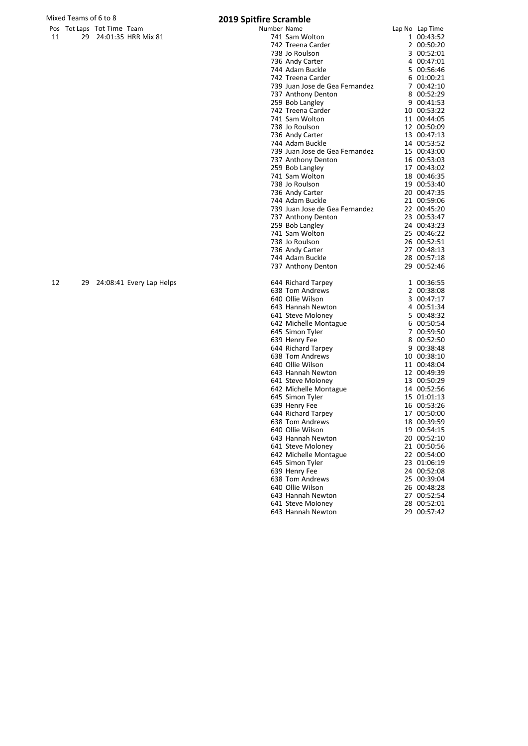|    | Mixed Teams of 6 to 8 |                            |                        | <b>2019 Spitfire Scramble</b> |
|----|-----------------------|----------------------------|------------------------|-------------------------------|
|    |                       | Pos Tot Laps Tot Time Team |                        | Number Name                   |
| 11 |                       |                            | 29 24:01:35 HRR Mix 81 | 741 Sam Wo                    |

|    |    | Pos Tot Laps Tot Time Team |                          | Number Name |                                | Lap No Lap Time |
|----|----|----------------------------|--------------------------|-------------|--------------------------------|-----------------|
| 11 | 29 |                            | 24:01:35 HRR Mix 81      |             | 741 Sam Wolton                 | 1 00:43:52      |
|    |    |                            |                          |             | 742 Treena Carder              | 2 00:50:20      |
|    |    |                            |                          |             | 738 Jo Roulson                 | 3 00:52:01      |
|    |    |                            |                          |             | 736 Andy Carter                | 4 00:47:01      |
|    |    |                            |                          |             | 744 Adam Buckle                | 5 00:56:46      |
|    |    |                            |                          |             | 742 Treena Carder              | 6 01:00:21      |
|    |    |                            |                          |             | 739 Juan Jose de Gea Fernandez | 7 00:42:10      |
|    |    |                            |                          |             | 737 Anthony Denton             | 8 00:52:29      |
|    |    |                            |                          |             | 259 Bob Langley                | 9 00:41:53      |
|    |    |                            |                          |             | 742 Treena Carder              | 10 00:53:22     |
|    |    |                            |                          |             | 741 Sam Wolton                 | 11 00:44:05     |
|    |    |                            |                          |             | 738 Jo Roulson                 | 12 00:50:09     |
|    |    |                            |                          |             | 736 Andy Carter                | 13 00:47:13     |
|    |    |                            |                          |             | 744 Adam Buckle                | 14 00:53:52     |
|    |    |                            |                          |             |                                | 15 00:43:00     |
|    |    |                            |                          |             | 739 Juan Jose de Gea Fernandez |                 |
|    |    |                            |                          |             | 737 Anthony Denton             | 16 00:53:03     |
|    |    |                            |                          |             | 259 Bob Langley                | 17 00:43:02     |
|    |    |                            |                          |             | 741 Sam Wolton                 | 18 00:46:35     |
|    |    |                            |                          |             | 738 Jo Roulson                 | 19 00:53:40     |
|    |    |                            |                          |             | 736 Andy Carter                | 20 00:47:35     |
|    |    |                            |                          |             | 744 Adam Buckle                | 21 00:59:06     |
|    |    |                            |                          |             | 739 Juan Jose de Gea Fernandez | 22 00:45:20     |
|    |    |                            |                          |             | 737 Anthony Denton             | 23 00:53:47     |
|    |    |                            |                          |             | 259 Bob Langley                | 24 00:43:23     |
|    |    |                            |                          |             | 741 Sam Wolton                 | 25 00:46:22     |
|    |    |                            |                          |             | 738 Jo Roulson                 | 26 00:52:51     |
|    |    |                            |                          |             | 736 Andy Carter                | 27 00:48:13     |
|    |    |                            |                          |             | 744 Adam Buckle                | 28 00:57:18     |
|    |    |                            |                          |             | 737 Anthony Denton             | 29 00:52:46     |
| 12 | 29 |                            | 24:08:41 Every Lap Helps |             | 644 Richard Tarpey             | 1 00:36:55      |
|    |    |                            |                          |             | 638 Tom Andrews                | 2 00:38:08      |
|    |    |                            |                          |             | 640 Ollie Wilson               | 3 00:47:17      |
|    |    |                            |                          |             | 643 Hannah Newton              | 4 00:51:34      |
|    |    |                            |                          |             | 641 Steve Moloney              | 5 00:48:32      |
|    |    |                            |                          |             | 642 Michelle Montague          | 6 00:50:54      |
|    |    |                            |                          |             | 645 Simon Tyler                | 7 00:59:50      |
|    |    |                            |                          |             | 639 Henry Fee                  | 8 00:52:50      |
|    |    |                            |                          |             | 644 Richard Tarpey             | 9 00:38:48      |
|    |    |                            |                          |             | 638 Tom Andrews                | 10 00:38:10     |
|    |    |                            |                          |             | 640 Ollie Wilson               | 11 00:48:04     |
|    |    |                            |                          |             | 643 Hannah Newton              | 12 00:49:39     |
|    |    |                            |                          |             | 641 Steve Moloney              | 13 00:50:29     |
|    |    |                            |                          |             | 642 Michelle Montague          | 14 00:52:56     |
|    |    |                            |                          |             | 645 Simon Tyler                | 15 01:01:13     |
|    |    |                            |                          |             | 639 Henry Fee                  | 16 00:53:26     |
|    |    |                            |                          |             | 644 Richard Tarpey             | 17 00:50:00     |
|    |    |                            |                          |             | 638 Tom Andrews                | 18 00:39:59     |
|    |    |                            |                          |             | 640 Ollie Wilson               | 19 00:54:15     |
|    |    |                            |                          |             | 643 Hannah Newton              | 20 00:52:10     |
|    |    |                            |                          |             | 641 Steve Moloney              | 21 00:50:56     |
|    |    |                            |                          |             | 642 Michelle Montague          | 22 00:54:00     |
|    |    |                            |                          |             | 645 Simon Tyler                | 23 01:06:19     |
|    |    |                            |                          |             | 639 Henry Fee                  | 24 00:52:08     |
|    |    |                            |                          |             | 638 Tom Andrews                | 25 00:39:04     |
|    |    |                            |                          |             | 640 Ollie Wilson               | 26 00:48:28     |
|    |    |                            |                          |             | 643 Hannah Newton              | 27 00:52:54     |
|    |    |                            |                          |             |                                |                 |

 Steve Moloney 28 00:52:01 Hannah Newton 29 00:57:42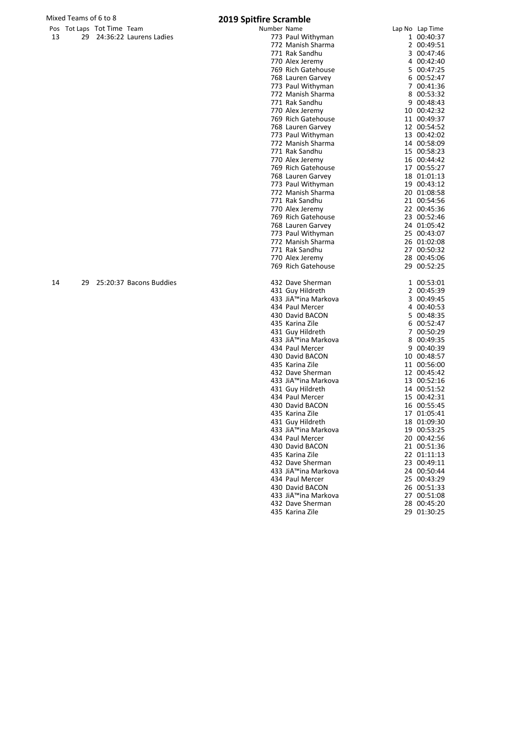# Mixed Teams of 6 to 8<br>
Pos Tot Laps Tot Time Team **1998** 2019 Spitfire Scramble

|    |    | Pos Tot Laps Tot Time Team |                         | Number Name |                                        | Lap No Lap Time            |
|----|----|----------------------------|-------------------------|-------------|----------------------------------------|----------------------------|
| 13 | 29 |                            | 24:36:22 Laurens Ladies |             | 773 Paul Withyman                      | 1 00:40:37                 |
|    |    |                            |                         |             | 772 Manish Sharma                      | 2 00:49:51                 |
|    |    |                            |                         |             | 771 Rak Sandhu                         | 3 00:47:46                 |
|    |    |                            |                         |             | 770 Alex Jeremy                        | 4 00:42:40                 |
|    |    |                            |                         |             | 769 Rich Gatehouse                     | 5 00:47:25                 |
|    |    |                            |                         |             | 768 Lauren Garvey                      | 6 00:52:47                 |
|    |    |                            |                         |             | 773 Paul Withyman                      | 7 00:41:36                 |
|    |    |                            |                         |             | 772 Manish Sharma<br>771 Rak Sandhu    | 8 00:53:32<br>9 00:48:43   |
|    |    |                            |                         |             | 770 Alex Jeremy                        | 10 00:42:32                |
|    |    |                            |                         |             | 769 Rich Gatehouse                     | 11 00:49:37                |
|    |    |                            |                         |             | 768 Lauren Garvey                      | 12 00:54:52                |
|    |    |                            |                         |             | 773 Paul Withyman                      | 13 00:42:02                |
|    |    |                            |                         |             | 772 Manish Sharma                      | 14 00:58:09                |
|    |    |                            |                         |             | 771 Rak Sandhu                         | 15 00:58:23                |
|    |    |                            |                         |             | 770 Alex Jeremy                        | 16 00:44:42                |
|    |    |                            |                         |             | 769 Rich Gatehouse                     | 17 00:55:27                |
|    |    |                            |                         |             | 768 Lauren Garvey                      | 18 01:01:13                |
|    |    |                            |                         |             | 773 Paul Withyman                      | 19 00:43:12                |
|    |    |                            |                         |             | 772 Manish Sharma                      | 20 01:08:58                |
|    |    |                            |                         |             | 771 Rak Sandhu                         | 21 00:54:56                |
|    |    |                            |                         |             | 770 Alex Jeremy                        | 22 00:45:36                |
|    |    |                            |                         |             | 769 Rich Gatehouse                     | 23 00:52:46                |
|    |    |                            |                         |             | 768 Lauren Garvey                      | 24 01:05:42                |
|    |    |                            |                         |             | 773 Paul Withyman                      | 25 00:43:07                |
|    |    |                            |                         |             | 772 Manish Sharma                      | 26 01:02:08                |
|    |    |                            |                         |             | 771 Rak Sandhu                         | 27 00:50:32                |
|    |    |                            |                         |             | 770 Alex Jeremy                        | 28 00:45:06                |
|    |    |                            |                         |             | 769 Rich Gatehouse                     | 29 00:52:25                |
| 14 | 29 |                            | 25:20:37 Bacons Buddies |             | 432 Dave Sherman                       | 1 00:53:01                 |
|    |    |                            |                         |             | 431 Guy Hildreth                       | 2 00:45:39                 |
|    |    |                            |                         |             | 433 JiA™ina Markova                    | 3 00:49:45                 |
|    |    |                            |                         |             | 434 Paul Mercer                        | 4 00:40:53                 |
|    |    |                            |                         |             | 430 David BACON                        | 5 00:48:35                 |
|    |    |                            |                         |             | 435 Karina Zile                        | 6 00:52:47                 |
|    |    |                            |                         |             | 431 Guy Hildreth                       | 7 00:50:29                 |
|    |    |                            |                         |             | 433 Jiřina Markova                     | 8 00:49:35                 |
|    |    |                            |                         |             | 434 Paul Mercer                        | 9 00:40:39                 |
|    |    |                            |                         |             | 430 David BACON                        | 10 00:48:57                |
|    |    |                            |                         |             | 435 Karina Zile                        | 11 00:56:00                |
|    |    |                            |                         |             | 432 Dave Sherman                       | 12 00:45:42                |
|    |    |                            |                         |             | 433 JiÙina Markova                     | 13 00:52:16                |
|    |    |                            |                         |             | 431 Guy Hildreth                       | 14 00:51:52                |
|    |    |                            |                         |             | 434 Paul Mercer                        | 15 00:42:31                |
|    |    |                            |                         |             | 430 David BACON                        | 16 00:55:45                |
|    |    |                            |                         |             | 435 Karina Zile                        | 17 01:05:41                |
|    |    |                            |                         |             | 431 Guy Hildreth<br>433 JiÙina Markova | 18 01:09:30<br>19 00:53:25 |
|    |    |                            |                         |             | 434 Paul Mercer                        | 20 00:42:56                |
|    |    |                            |                         |             | 430 David BACON                        | 21 00:51:36                |
|    |    |                            |                         |             | 435 Karina Zile                        | 22 01:11:13                |
|    |    |                            |                         |             | 432 Dave Sherman                       | 23 00:49:11                |
|    |    |                            |                         |             | 433 Jiřina Markova                     | 24 00:50:44                |
|    |    |                            |                         |             | 434 Paul Mercer                        | 25 00:43:29                |
|    |    |                            |                         |             | 430 David BACON                        | 26 00:51:33                |
|    |    |                            |                         |             | 433 Jiřina Markova                     | 27 00:51:08                |
|    |    |                            |                         |             | 432 Dave Sherman                       | 28 00:45:20                |
|    |    |                            |                         |             | 435 Karina Zile                        | 29 01:30:25                |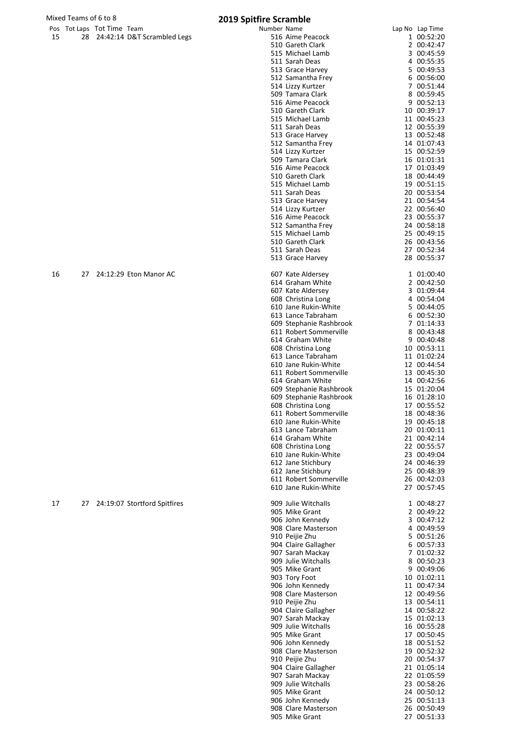|  | Pos Tot Laps Tot Time Team     | Number Name                                                        | Lap No Lap Time |            |
|--|--------------------------------|--------------------------------------------------------------------|-----------------|------------|
|  | 28 24:42:14 D&T Scrambled Legs | 516 Aime Peacock                                                   |                 | 1 00:52:20 |
|  |                                | $F \wedge \wedge \wedge \cdots \wedge \wedge \wedge \wedge \wedge$ |                 | 200121     |

| 15 | 24:42:14 D&T Scrambled Legs<br>28 | 516 Aime Peacock<br>510 Gareth Clark           | 1 00:52:20                 |
|----|-----------------------------------|------------------------------------------------|----------------------------|
|    |                                   | 515 Michael Lamb                               | 2 00:42:47<br>3 00:45:59   |
|    |                                   | 511 Sarah Deas                                 | 4 00:55:35                 |
|    |                                   | 513 Grace Harvey                               | 5 00:49:53                 |
|    |                                   | 512 Samantha Frey<br>514 Lizzy Kurtzer         | 6 00:56:00<br>7 00:51:44   |
|    |                                   | 509 Tamara Clark                               | 8 00:59:45                 |
|    |                                   | 516 Aime Peacock                               | 9 00:52:13                 |
|    |                                   | 510 Gareth Clark                               | 10 00:39:17                |
|    |                                   | 515 Michael Lamb<br>511 Sarah Deas             | 11 00:45:23<br>12 00:55:39 |
|    |                                   | 513 Grace Harvey                               | 13 00:52:48                |
|    |                                   | 512 Samantha Frey                              | 14 01:07:43                |
|    |                                   | 514 Lizzy Kurtzer<br>509 Tamara Clark          | 15 00:52:59<br>16 01:01:31 |
|    |                                   | 516 Aime Peacock                               | 17 01:03:49                |
|    |                                   | 510 Gareth Clark                               | 18 00:44:49                |
|    |                                   | 515 Michael Lamb<br>511 Sarah Deas             | 19 00:51:15                |
|    |                                   | 513 Grace Harvey                               | 20 00:53:54<br>21 00:54:54 |
|    |                                   | 514 Lizzy Kurtzer                              | 22 00:56:40                |
|    |                                   | 516 Aime Peacock                               | 23 00:55:37                |
|    |                                   | 512 Samantha Frey<br>515 Michael Lamb          | 24 00:58:18<br>25 00:49:15 |
|    |                                   | 510 Gareth Clark                               | 26 00:43:56                |
|    |                                   | 511 Sarah Deas                                 | 27 00:52:34                |
|    |                                   | 513 Grace Harvey                               | 28 00:55:37                |
| 16 | 24:12:29 Eton Manor AC<br>27      | 607 Kate Aldersey                              | 1 01:00:40                 |
|    |                                   | 614 Graham White                               | 2 00:42:50                 |
|    |                                   | 607 Kate Aldersey<br>608 Christina Long        | 3 01:09:44<br>4 00:54:04   |
|    |                                   | 610 Jane Rukin-White                           | 5 00:44:05                 |
|    |                                   | 613 Lance Tabraham                             | 6 00:52:30                 |
|    |                                   | 609 Stephanie Rashbrook                        | 7 01:14:33                 |
|    |                                   | 611 Robert Sommerville<br>614 Graham White     | 8 00:43:48<br>9 00:40:48   |
|    |                                   | 608 Christina Long                             | 10 00:53:11                |
|    |                                   | 613 Lance Tabraham                             | 11 01:02:24                |
|    |                                   | 610 Jane Rukin-White<br>611 Robert Sommerville | 12 00:44:54<br>13 00:45:30 |
|    |                                   | 614 Graham White                               | 14 00:42:56                |
|    |                                   | 609 Stephanie Rashbrook                        | 15 01:20:04                |
|    |                                   | 609 Stephanie Rashbrook                        | 16 01:28:10                |
|    |                                   | 608 Christina Long<br>611 Robert Sommerville   | 17 00:55:52<br>18 00:48:36 |
|    |                                   | 610 Jane Rukin-White                           | 19 00:45:18                |
|    |                                   | 613 Lance Tabraham                             | 20 01:00:11                |
|    |                                   | 614 Graham White<br>608 Christina Long         | 21 00:42:14<br>22 00:55:57 |
|    |                                   | 610 Jane Rukin-White                           | 23 00:49:04                |
|    |                                   | 612 Jane Stichbury                             | 24 00:46:39                |
|    |                                   | 612 Jane Stichbury<br>611 Robert Sommerville   | 25 00:48:39<br>26 00:42:03 |
|    |                                   | 610 Jane Rukin-White                           | 27 00:57:45                |
|    |                                   |                                                |                            |
| 17 | 27 24:19:07 Stortford Spitfires   | 909 Julie Witchalls<br>905 Mike Grant          | 1 00:48:27<br>2 00:49:22   |
|    |                                   | 906 John Kennedy                               | 3 00:47:12                 |
|    |                                   | 908 Clare Masterson                            | 4 00:49:59                 |
|    |                                   | 910 Peijie Zhu<br>904 Claire Gallagher         | 5 00:51:26<br>6 00:57:33   |
|    |                                   | 907 Sarah Mackay                               | 7 01:02:32                 |
|    |                                   | 909 Julie Witchalls                            | 8 00:50:23                 |
|    |                                   | 905 Mike Grant                                 | 9 00:49:06                 |
|    |                                   | 903 Tory Foot<br>906 John Kennedy              | 10 01:02:11<br>11 00:47:34 |
|    |                                   | 908 Clare Masterson                            | 12 00:49:56                |
|    |                                   | 910 Peijie Zhu                                 | 13 00:54:11                |
|    |                                   | 904 Claire Gallagher<br>907 Sarah Mackay       | 14 00:58:22<br>15 01:02:13 |
|    |                                   | 909 Julie Witchalls                            | 16 00:55:28                |
|    |                                   | 905 Mike Grant                                 | 17 00:50:45                |
|    |                                   | 906 John Kennedy<br>908 Clare Masterson        | 18 00:51:52<br>19 00:52:32 |
|    |                                   | 910 Peijie Zhu                                 | 20 00:54:37                |
|    |                                   | 904 Claire Gallagher                           | 21 01:05:14                |
|    |                                   | 907 Sarah Mackay                               | 22 01:05:59                |
|    |                                   | 909 Julie Witchalls<br>905 Mike Grant          | 23 00:58:26<br>24 00:50:12 |
|    |                                   | 906 John Kennedy                               | 25 00:51:13                |
|    |                                   | 908 Clare Masterson                            | 26 00:50:49                |
|    |                                   | 905 Mike Grant                                 | 27 00:51:33                |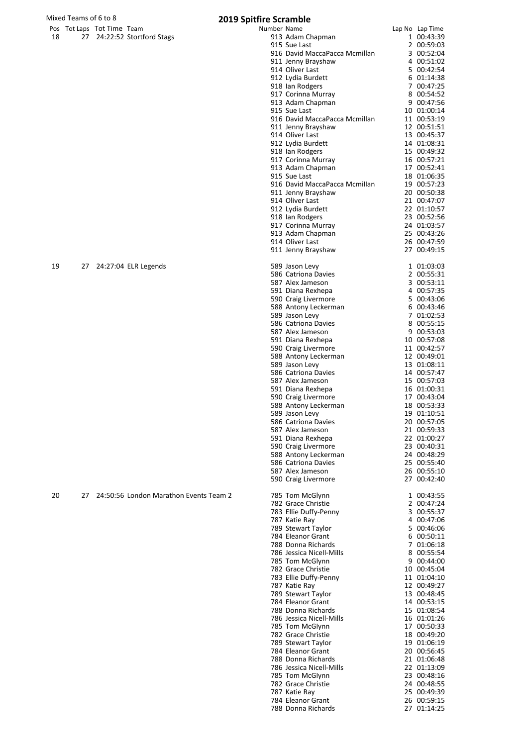|    |    | Pos Tot Laps Tot Time Team |                                        | Number Name |                                                | Lap No Lap Time            |
|----|----|----------------------------|----------------------------------------|-------------|------------------------------------------------|----------------------------|
| 18 |    |                            | 27 24:22:52 Stortford Stags            |             | 913 Adam Chapman                               | 1 00:43:39                 |
|    |    |                            |                                        |             | 915 Sue Last                                   | 2 00:59:03                 |
|    |    |                            |                                        |             | 916 David MaccaPacca Mcmillan                  | 3 00:52:04<br>4 00:51:02   |
|    |    |                            |                                        |             | 911 Jenny Brayshaw<br>914 Oliver Last          | 5 00:42:54                 |
|    |    |                            |                                        |             | 912 Lydia Burdett                              | 6 01:14:38                 |
|    |    |                            |                                        |             | 918 Ian Rodgers                                | 7 00:47:25                 |
|    |    |                            |                                        |             | 917 Corinna Murray                             | 8 00:54:52                 |
|    |    |                            |                                        |             | 913 Adam Chapman                               | 9 00:47:56                 |
|    |    |                            |                                        |             | 915 Sue Last                                   | 10 01:00:14                |
|    |    |                            |                                        |             | 916 David MaccaPacca Mcmillan                  | 11 00:53:19                |
|    |    |                            |                                        |             | 911 Jenny Brayshaw<br>914 Oliver Last          | 12 00:51:51<br>13 00:45:37 |
|    |    |                            |                                        |             | 912 Lydia Burdett                              | 14 01:08:31                |
|    |    |                            |                                        |             | 918 Ian Rodgers                                | 15 00:49:32                |
|    |    |                            |                                        |             | 917 Corinna Murray                             | 16 00:57:21                |
|    |    |                            |                                        |             | 913 Adam Chapman                               | 17 00:52:41                |
|    |    |                            |                                        |             | 915 Sue Last                                   | 18 01:06:35                |
|    |    |                            |                                        |             | 916 David MaccaPacca Mcmillan                  | 19 00:57:23                |
|    |    |                            |                                        |             | 911 Jenny Brayshaw                             | 20 00:50:38                |
|    |    |                            |                                        |             | 914 Oliver Last<br>912 Lydia Burdett           | 21 00:47:07<br>22 01:10:57 |
|    |    |                            |                                        |             | 918 Ian Rodgers                                | 23 00:52:56                |
|    |    |                            |                                        |             | 917 Corinna Murray                             | 24 01:03:57                |
|    |    |                            |                                        |             | 913 Adam Chapman                               | 25 00:43:26                |
|    |    |                            |                                        |             | 914 Oliver Last                                | 26 00:47:59                |
|    |    |                            |                                        |             | 911 Jenny Brayshaw                             | 27 00:49:15                |
|    |    |                            |                                        |             |                                                |                            |
| 19 | 27 |                            | 24:27:04 ELR Legends                   |             | 589 Jason Levy<br>586 Catriona Davies          | 1 01:03:03<br>2 00:55:31   |
|    |    |                            |                                        |             | 587 Alex Jameson                               | 3 00:53:11                 |
|    |    |                            |                                        |             | 591 Diana Rexhepa                              | 4 00:57:35                 |
|    |    |                            |                                        |             | 590 Craig Livermore                            | 5 00:43:06                 |
|    |    |                            |                                        |             | 588 Antony Leckerman                           | 6 00:43:46                 |
|    |    |                            |                                        |             | 589 Jason Levy                                 | 7 01:02:53                 |
|    |    |                            |                                        |             | 586 Catriona Davies                            | 8 00:55:15                 |
|    |    |                            |                                        |             | 587 Alex Jameson                               | 9 00:53:03                 |
|    |    |                            |                                        |             | 591 Diana Rexhepa                              | 10 00:57:08                |
|    |    |                            |                                        |             | 590 Craig Livermore<br>588 Antony Leckerman    | 11 00:42:57<br>12 00:49:01 |
|    |    |                            |                                        |             | 589 Jason Levy                                 | 13 01:08:11                |
|    |    |                            |                                        |             | 586 Catriona Davies                            | 14 00:57:47                |
|    |    |                            |                                        |             | 587 Alex Jameson                               | 15 00:57:03                |
|    |    |                            |                                        |             | 591 Diana Rexhepa                              | 16 01:00:31                |
|    |    |                            |                                        |             | 590 Craig Livermore                            | 17 00:43:04                |
|    |    |                            |                                        |             | 588 Antony Leckerman<br>589 Jason Levy         | 18 00:53:33<br>19 01:10:51 |
|    |    |                            |                                        |             | 586 Catriona Davies                            | 20 00:57:05                |
|    |    |                            |                                        |             | 587 Alex Jameson                               | 21 00:59:33                |
|    |    |                            |                                        |             | 591 Diana Rexhepa                              | 22 01:00:27                |
|    |    |                            |                                        |             | 590 Craig Livermore                            | 23 00:40:31                |
|    |    |                            |                                        |             | 588 Antony Leckerman                           | 24 00:48:29                |
|    |    |                            |                                        |             | 586 Catriona Davies                            | 25 00:55:40                |
|    |    |                            |                                        |             | 587 Alex Jameson                               | 26 00:55:10<br>27 00:42:40 |
|    |    |                            |                                        |             | 590 Craig Livermore                            |                            |
| 20 | 27 |                            | 24:50:56 London Marathon Events Team 2 |             | 785 Tom McGlynn                                | 1 00:43:55                 |
|    |    |                            |                                        |             | 782 Grace Christie                             | 2 00:47:24                 |
|    |    |                            |                                        |             | 783 Ellie Duffy-Penny                          | 3 00:55:37                 |
|    |    |                            |                                        |             | 787 Katie Ray                                  | 4 00:47:06                 |
|    |    |                            |                                        |             | 789 Stewart Taylor                             | 5 00:46:06                 |
|    |    |                            |                                        |             | 784 Eleanor Grant<br>788 Donna Richards        | 6 00:50:11<br>7 01:06:18   |
|    |    |                            |                                        |             | 786 Jessica Nicell-Mills                       | 8 00:55:54                 |
|    |    |                            |                                        |             | 785 Tom McGlynn                                | 9 00:44:00                 |
|    |    |                            |                                        |             | 782 Grace Christie                             | 10 00:45:04                |
|    |    |                            |                                        |             | 783 Ellie Duffy-Penny                          | 11 01:04:10                |
|    |    |                            |                                        |             | 787 Katie Ray                                  | 12 00:49:27                |
|    |    |                            |                                        |             | 789 Stewart Taylor                             | 13 00:48:45                |
|    |    |                            |                                        |             | 784 Eleanor Grant<br>788 Donna Richards        | 14 00:53:15<br>15 01:08:54 |
|    |    |                            |                                        |             | 786 Jessica Nicell-Mills                       | 16 01:01:26                |
|    |    |                            |                                        |             | 785 Tom McGlynn                                | 17 00:50:33                |
|    |    |                            |                                        |             | 782 Grace Christie                             | 18 00:49:20                |
|    |    |                            |                                        |             | 789 Stewart Taylor                             | 19 01:06:19                |
|    |    |                            |                                        |             | 784 Eleanor Grant                              | 20 00:56:45                |
|    |    |                            |                                        |             | 788 Donna Richards<br>786 Jessica Nicell-Mills | 21 01:06:48<br>22 01:13:09 |
|    |    |                            |                                        |             | 785 Tom McGlynn                                | 23 00:48:16                |
|    |    |                            |                                        |             | 782 Grace Christie                             | 24 00:48:55                |
|    |    |                            |                                        |             | 787 Katie Ray                                  | 25 00:49:39                |
|    |    |                            |                                        |             | 784 Eleanor Grant                              | 26 00:59:15                |
|    |    |                            |                                        |             | 788 Donna Richards                             | 27 01:14:25                |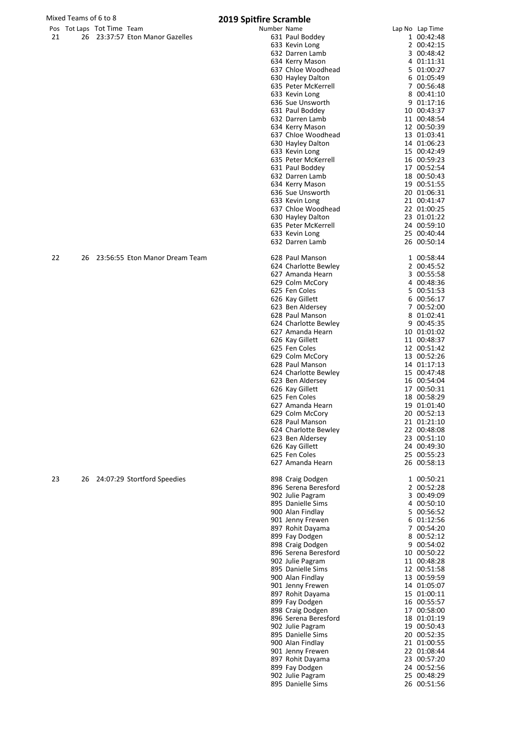|    |    | Pos Tot Laps Tot Time Team |                                 | Number Name |                      | Lap No Lap Time |
|----|----|----------------------------|---------------------------------|-------------|----------------------|-----------------|
| 21 |    |                            | 26 23:37:57 Eton Manor Gazelles |             | 631 Paul Boddey      | 1 00:42:48      |
|    |    |                            |                                 |             | 633 Kevin Long       | 2 00:42:15      |
|    |    |                            |                                 |             |                      |                 |
|    |    |                            |                                 |             | 632 Darren Lamb      | 3 00:48:42      |
|    |    |                            |                                 |             | 634 Kerry Mason      | 4 01:11:31      |
|    |    |                            |                                 |             | 637 Chloe Woodhead   | 5 01:00:27      |
|    |    |                            |                                 |             |                      |                 |
|    |    |                            |                                 |             | 630 Hayley Dalton    | 6 01:05:49      |
|    |    |                            |                                 |             | 635 Peter McKerrell  | 7 00:56:48      |
|    |    |                            |                                 |             |                      |                 |
|    |    |                            |                                 |             | 633 Kevin Long       | 8 00:41:10      |
|    |    |                            |                                 |             | 636 Sue Unsworth     | 9 01:17:16      |
|    |    |                            |                                 |             |                      |                 |
|    |    |                            |                                 |             | 631 Paul Boddey      | 10 00:43:37     |
|    |    |                            |                                 |             | 632 Darren Lamb      | 11 00:48:54     |
|    |    |                            |                                 |             | 634 Kerry Mason      | 12 00:50:39     |
|    |    |                            |                                 |             |                      |                 |
|    |    |                            |                                 |             | 637 Chloe Woodhead   | 13 01:03:41     |
|    |    |                            |                                 |             | 630 Hayley Dalton    | 14 01:06:23     |
|    |    |                            |                                 |             |                      |                 |
|    |    |                            |                                 |             | 633 Kevin Long       | 15 00:42:49     |
|    |    |                            |                                 |             | 635 Peter McKerrell  | 16 00:59:23     |
|    |    |                            |                                 |             | 631 Paul Boddey      | 17 00:52:54     |
|    |    |                            |                                 |             |                      |                 |
|    |    |                            |                                 |             | 632 Darren Lamb      | 18 00:50:43     |
|    |    |                            |                                 |             | 634 Kerry Mason      | 19 00:51:55     |
|    |    |                            |                                 |             |                      |                 |
|    |    |                            |                                 |             | 636 Sue Unsworth     | 20 01:06:31     |
|    |    |                            |                                 |             | 633 Kevin Long       | 21 00:41:47     |
|    |    |                            |                                 |             | 637 Chloe Woodhead   | 22 01:00:25     |
|    |    |                            |                                 |             |                      |                 |
|    |    |                            |                                 |             | 630 Hayley Dalton    | 23 01:01:22     |
|    |    |                            |                                 |             | 635 Peter McKerrell  | 24 00:59:10     |
|    |    |                            |                                 |             |                      | 25 00:40:44     |
|    |    |                            |                                 |             | 633 Kevin Long       |                 |
|    |    |                            |                                 |             | 632 Darren Lamb      | 26 00:50:14     |
|    |    |                            |                                 |             |                      |                 |
|    |    |                            |                                 |             |                      |                 |
| 22 | 26 |                            | 23:56:55 Eton Manor Dream Team  |             | 628 Paul Manson      | 1 00:58:44      |
|    |    |                            |                                 |             | 624 Charlotte Bewley | 2 00:45:52      |
|    |    |                            |                                 |             |                      |                 |
|    |    |                            |                                 |             | 627 Amanda Hearn     | 3 00:55:58      |
|    |    |                            |                                 |             | 629 Colm McCory      | 4 00:48:36      |
|    |    |                            |                                 |             | 625 Fen Coles        | 5 00:51:53      |
|    |    |                            |                                 |             |                      |                 |
|    |    |                            |                                 |             | 626 Kay Gillett      | 6 00:56:17      |
|    |    |                            |                                 |             | 623 Ben Aldersey     | 7 00:52:00      |
|    |    |                            |                                 |             |                      |                 |
|    |    |                            |                                 |             | 628 Paul Manson      | 8 01:02:41      |
|    |    |                            |                                 |             | 624 Charlotte Bewley | 9 00:45:35      |
|    |    |                            |                                 |             | 627 Amanda Hearn     | 10 01:01:02     |
|    |    |                            |                                 |             |                      |                 |
|    |    |                            |                                 |             | 626 Kay Gillett      | 11 00:48:37     |
|    |    |                            |                                 |             | 625 Fen Coles        | 12 00:51:42     |
|    |    |                            |                                 |             |                      |                 |
|    |    |                            |                                 |             | 629 Colm McCory      | 13 00:52:26     |
|    |    |                            |                                 |             | 628 Paul Manson      | 14 01:17:13     |
|    |    |                            |                                 |             | 624 Charlotte Bewley | 15 00:47:48     |
|    |    |                            |                                 |             |                      |                 |
|    |    |                            |                                 |             | 623 Ben Aldersey     | 16 00:54:04     |
|    |    |                            |                                 |             | 626 Kay Gillett      | 17 00:50:31     |
|    |    |                            |                                 |             |                      |                 |
|    |    |                            |                                 |             | 625 Fen Coles        | 18 00:58:29     |
|    |    |                            |                                 |             | 627 Amanda Hearn     | 19 01:01:40     |
|    |    |                            |                                 |             |                      | 20 00:52:13     |
|    |    |                            |                                 |             | 629 Colm McCory      |                 |
|    |    |                            |                                 |             | 628 Paul Manson      | 21 01:21:10     |
|    |    |                            |                                 |             | 624 Charlotte Bewley | 22 00:48:08     |
|    |    |                            |                                 |             |                      |                 |
|    |    |                            |                                 |             | 623 Ben Aldersey     | 23 00:51:10     |
|    |    |                            |                                 |             | 626 Kay Gillett      | 24 00:49:30     |
|    |    |                            |                                 |             | 625 Fen Coles        | 25 00:55:23     |
|    |    |                            |                                 |             |                      |                 |
|    |    |                            |                                 |             | 627 Amanda Hearn     | 26 00:58:13     |
|    |    |                            |                                 |             |                      |                 |
|    |    |                            |                                 |             |                      |                 |
| 23 | 26 |                            | 24:07:29 Stortford Speedies     |             | 898 Craig Dodgen     | 1 00:50:21      |
|    |    |                            |                                 |             | 896 Serena Beresford | 2 00:52:28      |
|    |    |                            |                                 |             | 902 Julie Pagram     | 3 00:49:09      |
|    |    |                            |                                 |             |                      |                 |
|    |    |                            |                                 |             | 895 Danielle Sims    | 4 00:50:10      |
|    |    |                            |                                 |             | 900 Alan Findlay     | 5 00:56:52      |
|    |    |                            |                                 |             | 901 Jenny Frewen     | 6 01:12:56      |
|    |    |                            |                                 |             |                      |                 |
|    |    |                            |                                 |             | 897 Rohit Dayama     | 7 00:54:20      |
|    |    |                            |                                 |             | 899 Fay Dodgen       | 8 00:52:12      |
|    |    |                            |                                 |             |                      |                 |
|    |    |                            |                                 |             | 898 Craig Dodgen     | 9 00:54:02      |
|    |    |                            |                                 |             | 896 Serena Beresford | 10 00:50:22     |
|    |    |                            |                                 |             | 902 Julie Pagram     | 11 00:48:28     |
|    |    |                            |                                 |             |                      |                 |
|    |    |                            |                                 |             | 895 Danielle Sims    | 12 00:51:58     |
|    |    |                            |                                 |             | 900 Alan Findlay     | 13 00:59:59     |
|    |    |                            |                                 |             |                      |                 |
|    |    |                            |                                 |             | 901 Jenny Frewen     | 14 01:05:07     |
|    |    |                            |                                 |             | 897 Rohit Dayama     | 15 01:00:11     |
|    |    |                            |                                 |             | 899 Fay Dodgen       | 16 00:55:57     |
|    |    |                            |                                 |             |                      |                 |
|    |    |                            |                                 |             | 898 Craig Dodgen     | 17 00:58:00     |
|    |    |                            |                                 |             | 896 Serena Beresford | 18 01:01:19     |
|    |    |                            |                                 |             |                      |                 |
|    |    |                            |                                 |             | 902 Julie Pagram     | 19 00:50:43     |
|    |    |                            |                                 |             | 895 Danielle Sims    | 20 00:52:35     |
|    |    |                            |                                 |             | 900 Alan Findlay     | 21 01:00:55     |
|    |    |                            |                                 |             |                      |                 |
|    |    |                            |                                 |             | 901 Jenny Frewen     | 22 01:08:44     |
|    |    |                            |                                 |             | 897 Rohit Dayama     | 23 00:57:20     |
|    |    |                            |                                 |             | 899 Fay Dodgen       | 24 00:52:56     |
|    |    |                            |                                 |             |                      |                 |
|    |    |                            |                                 |             | 902 Julie Pagram     | 25 00:48:29     |
|    |    |                            |                                 |             | 895 Danielle Sims    | 26 00:51:56     |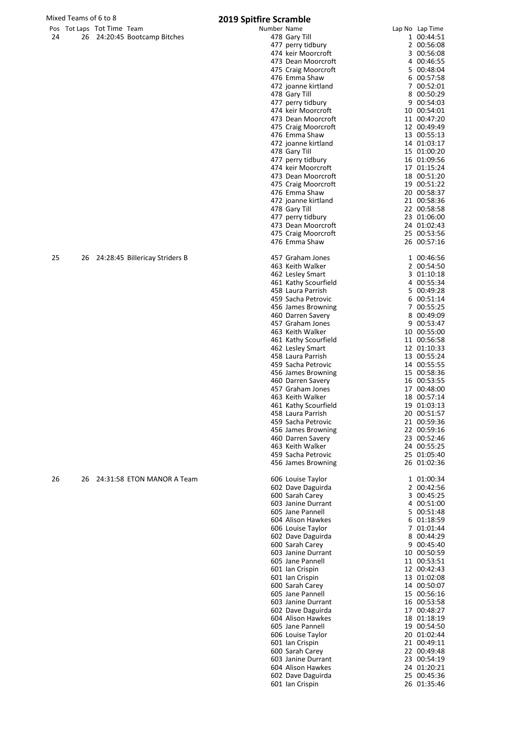# Mixed Teams of 6 to 8<br>
Pos Tot Laps Tot Time Team **2019 Spitfire Scramble**

| 24 |  | 26 24:20:45 Bootcamp Bitches |  |
|----|--|------------------------------|--|

|    |    | Pos Tot Laps Tot Time Team |                                   | Number Name |                                          | Lap No Lap Time            |
|----|----|----------------------------|-----------------------------------|-------------|------------------------------------------|----------------------------|
| 24 |    |                            | 26 24:20:45 Bootcamp Bitches      |             | 478 Gary Till                            | 1 00:44:51                 |
|    |    |                            |                                   |             | 477 perry tidbury                        | 2 00:56:08                 |
|    |    |                            |                                   |             | 474 keir Moorcroft                       | 3 00:56:08                 |
|    |    |                            |                                   |             | 473 Dean Moorcroft                       | 4 00:46:55                 |
|    |    |                            |                                   |             | 475 Craig Moorcroft                      | 5 00:48:04                 |
|    |    |                            |                                   |             | 476 Emma Shaw                            | 6 00:57:58                 |
|    |    |                            |                                   |             | 472 joanne kirtland                      | 7 00:52:01                 |
|    |    |                            |                                   |             | 478 Gary Till                            | 8 00:50:29                 |
|    |    |                            |                                   |             | 477 perry tidbury                        | 9 00:54:03                 |
|    |    |                            |                                   |             | 474 keir Moorcroft                       | 10 00:54:01                |
|    |    |                            |                                   |             | 473 Dean Moorcroft                       | 11 00:47:20                |
|    |    |                            |                                   |             | 475 Craig Moorcroft                      | 12 00:49:49                |
|    |    |                            |                                   |             | 476 Emma Shaw                            | 13 00:55:13                |
|    |    |                            |                                   |             | 472 joanne kirtland                      | 14 01:03:17                |
|    |    |                            |                                   |             | 478 Gary Till                            | 15 01:00:20                |
|    |    |                            |                                   |             | 477 perry tidbury                        | 16 01:09:56                |
|    |    |                            |                                   |             | 474 keir Moorcroft                       | 17 01:15:24                |
|    |    |                            |                                   |             | 473 Dean Moorcroft                       | 18 00:51:20                |
|    |    |                            |                                   |             | 475 Craig Moorcroft                      | 19 00:51:22                |
|    |    |                            |                                   |             | 476 Emma Shaw                            | 20 00:58:37                |
|    |    |                            |                                   |             | 472 joanne kirtland                      | 21 00:58:36                |
|    |    |                            |                                   |             | 478 Gary Till                            | 22 00:58:58                |
|    |    |                            |                                   |             | 477 perry tidbury                        | 23 01:06:00                |
|    |    |                            |                                   |             | 473 Dean Moorcroft                       | 24 01:02:43                |
|    |    |                            |                                   |             | 475 Craig Moorcroft                      | 25 00:53:56                |
|    |    |                            |                                   |             | 476 Emma Shaw                            | 26 00:57:16                |
|    |    |                            |                                   |             |                                          |                            |
| 25 |    |                            | 26 24:28:45 Billericay Striders B |             | 457 Graham Jones                         | 1 00:46:56<br>2 00:54:50   |
|    |    |                            |                                   |             | 463 Keith Walker                         | 3 01:10:18                 |
|    |    |                            |                                   |             | 462 Lesley Smart<br>461 Kathy Scourfield | 4 00:55:34                 |
|    |    |                            |                                   |             | 458 Laura Parrish                        | 5 00:49:28                 |
|    |    |                            |                                   |             | 459 Sacha Petrovic                       | 6 00:51:14                 |
|    |    |                            |                                   |             |                                          | 7 00:55:25                 |
|    |    |                            |                                   |             | 456 James Browning                       |                            |
|    |    |                            |                                   |             | 460 Darren Savery<br>457 Graham Jones    | 8 00:49:09<br>9 00:53:47   |
|    |    |                            |                                   |             | 463 Keith Walker                         | 10 00:55:00                |
|    |    |                            |                                   |             |                                          |                            |
|    |    |                            |                                   |             | 461 Kathy Scourfield<br>462 Lesley Smart | 11 00:56:58<br>12 01:10:33 |
|    |    |                            |                                   |             | 458 Laura Parrish                        | 13 00:55:24                |
|    |    |                            |                                   |             | 459 Sacha Petrovic                       |                            |
|    |    |                            |                                   |             | 456 James Browning                       | 14 00:55:55<br>15 00:58:36 |
|    |    |                            |                                   |             | 460 Darren Savery                        | 16 00:53:55                |
|    |    |                            |                                   |             | 457 Graham Jones                         | 17 00:48:00                |
|    |    |                            |                                   |             | 463 Keith Walker                         | 18 00:57:14                |
|    |    |                            |                                   |             | 461 Kathy Scourfield                     | 19 01:03:13                |
|    |    |                            |                                   |             | 458 Laura Parrish                        | 20 00:51:57                |
|    |    |                            |                                   |             | 459 Sacha Petrovic                       | 21 00:59:36                |
|    |    |                            |                                   |             | 456 James Browning                       | 22 00:59:16                |
|    |    |                            |                                   |             | 460 Darren Savery                        | 23 00:52:46                |
|    |    |                            |                                   |             | 463 Keith Walker                         | 24 00:55:25                |
|    |    |                            |                                   |             | 459 Sacha Petrovic                       | 25 01:05:40                |
|    |    |                            |                                   |             | 456 James Browning                       | 26 01:02:36                |
|    |    |                            |                                   |             |                                          |                            |
| 26 | 26 |                            | 24:31:58 ETON MANOR A Team        |             | 606 Louise Taylor                        | 1 01:00:34                 |
|    |    |                            |                                   |             | 602 Dave Daguirda                        | 2 00:42:56                 |
|    |    |                            |                                   |             | 600 Sarah Carey                          | 3 00:45:25                 |
|    |    |                            |                                   |             | 603 Janine Durrant                       | 4 00:51:00                 |
|    |    |                            |                                   |             | 605 Jane Pannell                         | 5 00:51:48                 |
|    |    |                            |                                   |             | 604 Alison Hawkes                        | 6 01:18:59                 |
|    |    |                            |                                   |             | 606 Louise Taylor                        | 7 01:01:44                 |
|    |    |                            |                                   |             | 602 Dave Daguirda                        | 8 00:44:29                 |
|    |    |                            |                                   |             | 600 Sarah Carey                          | 9 00:45:40                 |
|    |    |                            |                                   |             | 603 Janine Durrant                       | 10 00:50:59                |
|    |    |                            |                                   |             | 605 Jane Pannell                         | 11 00:53:51                |
|    |    |                            |                                   |             | 601 Ian Crispin                          | 12 00:42:43                |
|    |    |                            |                                   |             | 601 Ian Crispin                          | 13 01:02:08                |
|    |    |                            |                                   |             | 600 Sarah Carey                          | 14 00:50:07                |
|    |    |                            |                                   |             | 605 Jane Pannell                         | 15 00:56:16                |
|    |    |                            |                                   |             | 603 Janine Durrant                       | 16 00:53:58                |
|    |    |                            |                                   |             | 602 Dave Daguirda                        | 17 00:48:27                |
|    |    |                            |                                   |             | 604 Alison Hawkes                        | 18 01:18:19                |
|    |    |                            |                                   |             | 605 Jane Pannell                         | 19 00:54:50                |
|    |    |                            |                                   |             | 606 Louise Taylor                        | 20 01:02:44                |
|    |    |                            |                                   |             | 601 Ian Crispin                          | 21 00:49:11                |
|    |    |                            |                                   |             | 600 Sarah Carey                          | 22 00:49:48                |
|    |    |                            |                                   |             | 603 Janine Durrant                       | 23 00:54:19                |
|    |    |                            |                                   |             | 604 Alison Hawkes                        | 24 01:20:21                |
|    |    |                            |                                   |             | 602 Dave Daguirda                        | 25 00:45:36                |
|    |    |                            |                                   |             | 601 Ian Crispin                          | 26 01:35:46                |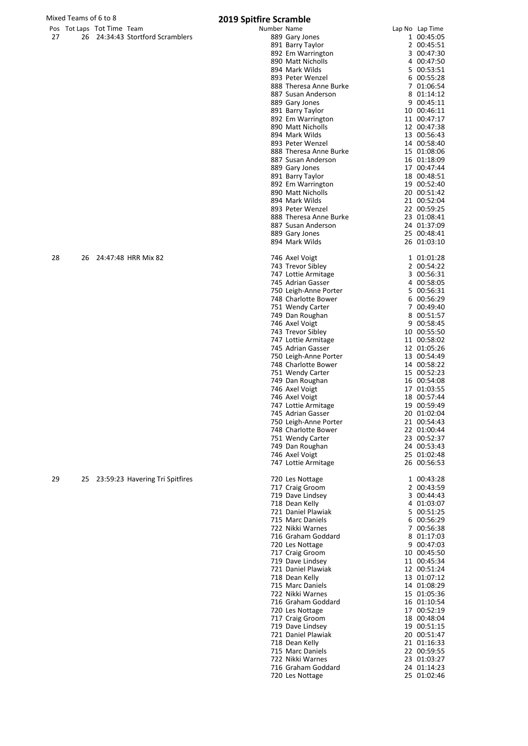|    |    |                            |                                    | 2019 JPHHIL | <b>PERMITTEL</b>       |                 |
|----|----|----------------------------|------------------------------------|-------------|------------------------|-----------------|
|    |    | Pos Tot Laps Tot Time Team |                                    | Number Name |                        | Lap No Lap Time |
| 27 |    |                            | 26 24:34:43 Stortford Scramblers   |             | 889 Gary Jones         | 1 00:45:05      |
|    |    |                            |                                    |             | 891 Barry Taylor       | 2 00:45:51      |
|    |    |                            |                                    |             | 892 Em Warrington      | 3 00:47:30      |
|    |    |                            |                                    |             | 890 Matt Nicholls      | 4 00:47:50      |
|    |    |                            |                                    |             |                        |                 |
|    |    |                            |                                    |             | 894 Mark Wilds         | 5 00:53:51      |
|    |    |                            |                                    |             | 893 Peter Wenzel       | 6 00:55:28      |
|    |    |                            |                                    |             | 888 Theresa Anne Burke | 7 01:06:54      |
|    |    |                            |                                    |             | 887 Susan Anderson     | 8 01:14:12      |
|    |    |                            |                                    |             |                        |                 |
|    |    |                            |                                    |             | 889 Gary Jones         | 9 00:45:11      |
|    |    |                            |                                    |             | 891 Barry Taylor       | 10 00:46:11     |
|    |    |                            |                                    |             | 892 Em Warrington      | 11 00:47:17     |
|    |    |                            |                                    |             | 890 Matt Nicholls      | 12 00:47:38     |
|    |    |                            |                                    |             | 894 Mark Wilds         | 13 00:56:43     |
|    |    |                            |                                    |             |                        |                 |
|    |    |                            |                                    |             | 893 Peter Wenzel       | 14 00:58:40     |
|    |    |                            |                                    |             | 888 Theresa Anne Burke | 15 01:08:06     |
|    |    |                            |                                    |             | 887 Susan Anderson     | 16 01:18:09     |
|    |    |                            |                                    |             | 889 Gary Jones         | 17 00:47:44     |
|    |    |                            |                                    |             | 891 Barry Taylor       | 18 00:48:51     |
|    |    |                            |                                    |             |                        |                 |
|    |    |                            |                                    |             | 892 Em Warrington      | 19 00:52:40     |
|    |    |                            |                                    |             | 890 Matt Nicholls      | 20 00:51:42     |
|    |    |                            |                                    |             | 894 Mark Wilds         | 21 00:52:04     |
|    |    |                            |                                    |             | 893 Peter Wenzel       | 22 00:59:25     |
|    |    |                            |                                    |             | 888 Theresa Anne Burke | 23 01:08:41     |
|    |    |                            |                                    |             |                        |                 |
|    |    |                            |                                    |             | 887 Susan Anderson     | 24 01:37:09     |
|    |    |                            |                                    |             | 889 Gary Jones         | 25 00:48:41     |
|    |    |                            |                                    |             | 894 Mark Wilds         | 26 01:03:10     |
|    |    |                            |                                    |             |                        |                 |
| 28 | 26 |                            | 24:47:48 HRR Mix 82                |             | 746 Axel Voigt         | 1 01:01:28      |
|    |    |                            |                                    |             |                        |                 |
|    |    |                            |                                    |             | 743 Trevor Sibley      | 2 00:54:22      |
|    |    |                            |                                    |             | 747 Lottie Armitage    | 3 00:56:31      |
|    |    |                            |                                    |             | 745 Adrian Gasser      | 4 00:58:05      |
|    |    |                            |                                    |             | 750 Leigh-Anne Porter  | 5 00:56:31      |
|    |    |                            |                                    |             | 748 Charlotte Bower    | 6 00:56:29      |
|    |    |                            |                                    |             |                        |                 |
|    |    |                            |                                    |             | 751 Wendy Carter       | 7 00:49:40      |
|    |    |                            |                                    |             | 749 Dan Roughan        | 8 00:51:57      |
|    |    |                            |                                    |             | 746 Axel Voigt         | 9 00:58:45      |
|    |    |                            |                                    |             | 743 Trevor Sibley      | 10 00:55:50     |
|    |    |                            |                                    |             |                        |                 |
|    |    |                            |                                    |             | 747 Lottie Armitage    | 11 00:58:02     |
|    |    |                            |                                    |             | 745 Adrian Gasser      | 12 01:05:26     |
|    |    |                            |                                    |             | 750 Leigh-Anne Porter  | 13 00:54:49     |
|    |    |                            |                                    |             | 748 Charlotte Bower    | 14 00:58:22     |
|    |    |                            |                                    |             | 751 Wendy Carter       | 15 00:52:23     |
|    |    |                            |                                    |             |                        |                 |
|    |    |                            |                                    |             | 749 Dan Roughan        | 16 00:54:08     |
|    |    |                            |                                    |             | 746 Axel Voigt         | 17 01:03:55     |
|    |    |                            |                                    |             | 746 Axel Voigt         | 18 00:57:44     |
|    |    |                            |                                    |             | 747 Lottie Armitage    | 19 00:59:49     |
|    |    |                            |                                    |             | 745 Adrian Gasser      | 20 01:02:04     |
|    |    |                            |                                    |             |                        |                 |
|    |    |                            |                                    |             | 750 Leigh-Anne Porter  | 21 00:54:43     |
|    |    |                            |                                    |             | 748 Charlotte Bower    | 22 01:00:44     |
|    |    |                            |                                    |             | 751 Wendy Carter       | 23 00:52:37     |
|    |    |                            |                                    |             | 749 Dan Roughan        | 24 00:53:43     |
|    |    |                            |                                    |             | 746 Axel Voigt         | 25 01:02:48     |
|    |    |                            |                                    |             | 747 Lottie Armitage    | 26 00:56:53     |
|    |    |                            |                                    |             |                        |                 |
|    |    |                            |                                    |             |                        |                 |
| 29 |    |                            | 25 23:59:23 Havering Tri Spitfires |             | 720 Les Nottage        | 1 00:43:28      |
|    |    |                            |                                    |             | 717 Craig Groom        | 2 00:43:59      |
|    |    |                            |                                    |             | 719 Dave Lindsey       | 3 00:44:43      |
|    |    |                            |                                    |             | 718 Dean Kelly         | 4 01:03:07      |
|    |    |                            |                                    |             | 721 Daniel Plawiak     | 5 00:51:25      |
|    |    |                            |                                    |             |                        |                 |
|    |    |                            |                                    |             | 715 Marc Daniels       | 6 00:56:29      |
|    |    |                            |                                    |             | 722 Nikki Warnes       | 7 00:56:38      |
|    |    |                            |                                    |             | 716 Graham Goddard     | 8 01:17:03      |
|    |    |                            |                                    |             | 720 Les Nottage        | 9 00:47:03      |
|    |    |                            |                                    |             | 717 Craig Groom        | 10 00:45:50     |
|    |    |                            |                                    |             |                        |                 |
|    |    |                            |                                    |             | 719 Dave Lindsey       | 11 00:45:34     |
|    |    |                            |                                    |             | 721 Daniel Plawiak     | 12 00:51:24     |
|    |    |                            |                                    |             | 718 Dean Kelly         | 13 01:07:12     |
|    |    |                            |                                    |             | 715 Marc Daniels       | 14 01:08:29     |
|    |    |                            |                                    |             | 722 Nikki Warnes       | 15 01:05:36     |
|    |    |                            |                                    |             |                        |                 |
|    |    |                            |                                    |             | 716 Graham Goddard     | 16 01:10:54     |
|    |    |                            |                                    |             | 720 Les Nottage        | 17 00:52:19     |
|    |    |                            |                                    |             | 717 Craig Groom        | 18 00:48:04     |
|    |    |                            |                                    |             | 719 Dave Lindsey       | 19 00:51:15     |
|    |    |                            |                                    |             | 721 Daniel Plawiak     | 20 00:51:47     |
|    |    |                            |                                    |             |                        |                 |
|    |    |                            |                                    |             | 718 Dean Kelly         | 21 01:16:33     |
|    |    |                            |                                    |             | 715 Marc Daniels       | 22 00:59:55     |
|    |    |                            |                                    |             | 722 Nikki Warnes       | 23 01:03:27     |
|    |    |                            |                                    |             | 716 Graham Goddard     | 24 01:14:23     |
|    |    |                            |                                    |             |                        |                 |

Les Nottage 25 01:02:46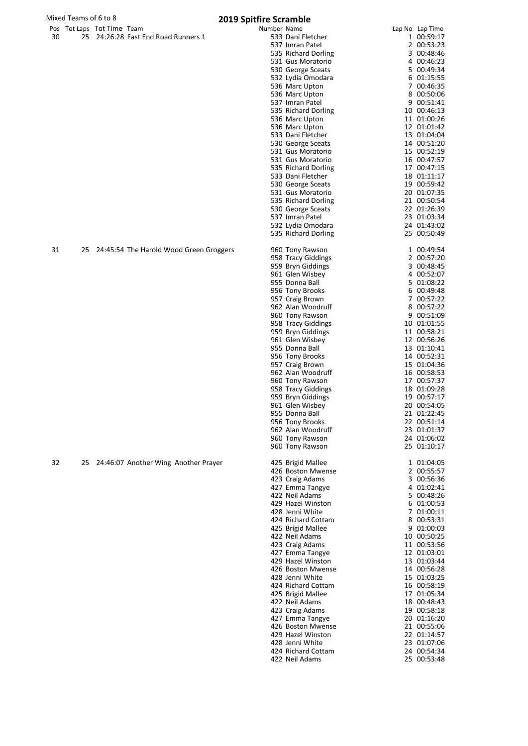|    | Mixed Teams of 6 to 8      |                                         | <b>2019 Spitfire Scramble</b>            |                               |
|----|----------------------------|-----------------------------------------|------------------------------------------|-------------------------------|
| 30 | Pos Tot Laps Tot Time Team | 25 24:26:28 East End Road Runners 1     | Number Name<br>533 Dani Fletcher         | Lap No Lap Time<br>1 00:59:17 |
|    |                            |                                         | 537 Imran Patel<br>535 Richard Dorling   | 2 00:53:23<br>3 00:48:46      |
|    |                            |                                         | 531 Gus Moratorio                        | 4 00:46:23                    |
|    |                            |                                         | 530 George Sceats                        | 5 00:49:34                    |
|    |                            |                                         | 532 Lydia Omodara                        | 6 01:15:55                    |
|    |                            |                                         | 536 Marc Upton                           | 7 00:46:35                    |
|    |                            |                                         | 536 Marc Upton<br>537 Imran Patel        | 8 00:50:06<br>9 00:51:41      |
|    |                            |                                         | 535 Richard Dorling                      | 10 00:46:13                   |
|    |                            |                                         | 536 Marc Upton                           | 11 01:00:26                   |
|    |                            |                                         | 536 Marc Upton                           | 12 01:01:42                   |
|    |                            |                                         | 533 Dani Fletcher<br>530 George Sceats   | 13 01:04:04<br>14 00:51:20    |
|    |                            |                                         | 531 Gus Moratorio                        | 15 00:52:19                   |
|    |                            |                                         | 531 Gus Moratorio                        | 16 00:47:57                   |
|    |                            |                                         | 535 Richard Dorling                      | 17 00:47:15                   |
|    |                            |                                         | 533 Dani Fletcher<br>530 George Sceats   | 18 01:11:17<br>19 00:59:42    |
|    |                            |                                         | 531 Gus Moratorio                        | 20 01:07:35                   |
|    |                            |                                         | 535 Richard Dorling                      | 21 00:50:54                   |
|    |                            |                                         | 530 George Sceats                        | 22 01:26:39                   |
|    |                            |                                         | 537 Imran Patel                          | 23 01:03:34                   |
|    |                            |                                         | 532 Lydia Omodara<br>535 Richard Dorling | 24 01:43:02<br>25 00:50:49    |
| 31 | 25                         | 24:45:54 The Harold Wood Green Groggers | 960 Tony Rawson                          | 1 00:49:54                    |
|    |                            |                                         | 958 Tracy Giddings                       | 2 00:57:20                    |
|    |                            |                                         | 959 Bryn Giddings                        | 3 00:48:45                    |
|    |                            |                                         | 961 Glen Wisbey<br>955 Donna Ball        | 4 00:52:07<br>5 01:08:22      |
|    |                            |                                         | 956 Tony Brooks                          | 6 00:49:48                    |
|    |                            |                                         | 957 Craig Brown                          | 7 00:57:22                    |
|    |                            |                                         | 962 Alan Woodruff                        | 8 00:57:22                    |
|    |                            |                                         | 960 Tony Rawson<br>958 Tracy Giddings    | 9 00:51:09<br>10 01:01:55     |
|    |                            |                                         | 959 Bryn Giddings                        | 11 00:58:21                   |
|    |                            |                                         | 961 Glen Wisbey                          | 12 00:56:26                   |
|    |                            |                                         | 955 Donna Ball                           | 13 01:10:41                   |
|    |                            |                                         | 956 Tony Brooks<br>957 Craig Brown       | 14 00:52:31<br>15 01:04:36    |
|    |                            |                                         | 962 Alan Woodruff                        | 16 00:58:53                   |
|    |                            |                                         | 960 Tony Rawson                          | 17 00:57:37                   |
|    |                            |                                         | 958 Tracy Giddings                       | 18 01:09:28                   |
|    |                            |                                         | 959 Bryn Giddings<br>961 Glen Wisbey     | 19 00:57:17<br>20 00:54:05    |
|    |                            |                                         | 955 Donna Ball                           | 21 01:22:45                   |
|    |                            |                                         | 956 Tony Brooks                          | 22 00:51:14                   |
|    |                            |                                         | 962 Alan Woodruff                        | 23 01:01:37                   |
|    |                            |                                         | 960 Tony Rawson<br>960 Tony Rawson       | 24 01:06:02<br>25 01:10:17    |
| 32 | 25                         | 24:46:07 Another Wing Another Prayer    | 425 Brigid Mallee                        | 1 01:04:05                    |
|    |                            |                                         | 426 Boston Mwense                        | 2 00:55:57                    |
|    |                            |                                         | 423 Craig Adams                          | 3 00:56:36                    |
|    |                            |                                         | 427 Emma Tangye<br>422 Neil Adams        | 4 01:02:41<br>5 00:48:26      |
|    |                            |                                         | 429 Hazel Winston                        | 6 01:00:53                    |
|    |                            |                                         | 428 Jenni White                          | 7 01:00:11                    |
|    |                            |                                         | 424 Richard Cottam                       | 8 00:53:31                    |
|    |                            |                                         | 425 Brigid Mallee<br>422 Neil Adams      | 9 01:00:03<br>10 00:50:25     |
|    |                            |                                         | 423 Craig Adams                          | 11 00:53:56                   |
|    |                            |                                         | 427 Emma Tangye                          | 12 01:03:01                   |
|    |                            |                                         | 429 Hazel Winston                        | 13 01:03:44                   |
|    |                            |                                         | 426 Boston Mwense<br>428 Jenni White     | 14 00:56:28<br>15 01:03:25    |
|    |                            |                                         | 424 Richard Cottam                       | 16 00:58:19                   |
|    |                            |                                         | 425 Brigid Mallee                        | 17 01:05:34                   |
|    |                            |                                         | 422 Neil Adams                           | 18 00:48:43                   |
|    |                            |                                         | 423 Craig Adams<br>427 Emma Tangye       | 19 00:58:18<br>20 01:16:20    |
|    |                            |                                         | 426 Boston Mwense                        | 21 00:55:06                   |
|    |                            |                                         | 429 Hazel Winston                        | 22 01:14:57                   |
|    |                            |                                         | 428 Jenni White                          | 23 01:07:06                   |
|    |                            |                                         | 424 Richard Cottam<br>422 Neil Adams     | 24 00:54:34<br>25 00:53:48    |
|    |                            |                                         |                                          |                               |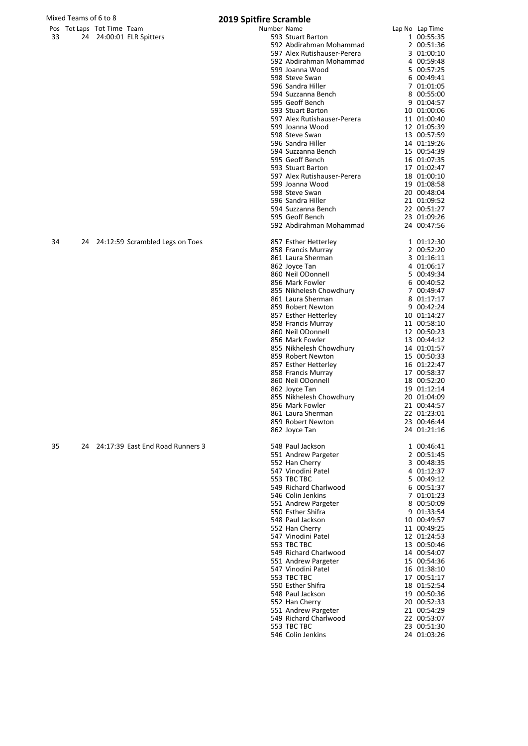|    | Mixed Teams of 6 to 8      |                                     | <b>2019 Spitfire Scramble</b> |                                              |                          |
|----|----------------------------|-------------------------------------|-------------------------------|----------------------------------------------|--------------------------|
|    | Pos Tot Laps Tot Time Team |                                     | Number Name                   |                                              | Lap No Lap Time          |
| 33 |                            | 24 24:00:01 ELR Spitters            |                               | 593 Stuart Barton                            | 1 00:55:35               |
|    |                            |                                     |                               | 592 Abdirahman Mohammad                      | 2 00:51:36               |
|    |                            |                                     |                               | 597 Alex Rutishauser-Perera                  | 3 01:00:10               |
|    |                            |                                     |                               | 592 Abdirahman Mohammad                      | 4 00:59:48               |
|    |                            |                                     |                               | 599 Joanna Wood                              | 5 00:57:25               |
|    |                            |                                     |                               | 598 Steve Swan                               | 6 00:49:41               |
|    |                            |                                     |                               | 596 Sandra Hiller                            | 7 01:01:05<br>8 00:55:00 |
|    |                            |                                     |                               | 594 Suzzanna Bench<br>595 Geoff Bench        | 9 01:04:57               |
|    |                            |                                     |                               | 593 Stuart Barton                            | 10 01:00:06              |
|    |                            |                                     |                               | 597 Alex Rutishauser-Perera                  | 11 01:00:40              |
|    |                            |                                     |                               | 599 Joanna Wood                              | 12 01:05:39              |
|    |                            |                                     |                               | 598 Steve Swan                               | 13 00:57:59              |
|    |                            |                                     |                               | 596 Sandra Hiller                            | 14 01:19:26              |
|    |                            |                                     |                               | 594 Suzzanna Bench                           | 15 00:54:39              |
|    |                            |                                     |                               | 595 Geoff Bench                              | 16 01:07:35              |
|    |                            |                                     |                               | 593 Stuart Barton                            | 17 01:02:47              |
|    |                            |                                     |                               | 597 Alex Rutishauser-Perera                  | 18 01:00:10              |
|    |                            |                                     |                               | 599 Joanna Wood                              | 19 01:08:58              |
|    |                            |                                     |                               | 598 Steve Swan                               | 20 00:48:04              |
|    |                            |                                     |                               | 596 Sandra Hiller                            | 21 01:09:52              |
|    |                            |                                     |                               | 594 Suzzanna Bench                           | 22 00:51:27              |
|    |                            |                                     |                               | 595 Geoff Bench                              | 23 01:09:26              |
|    |                            |                                     |                               | 592 Abdirahman Mohammad                      | 24 00:47:56              |
| 34 |                            | 24 24:12:59 Scrambled Legs on Toes  |                               | 857 Esther Hetterley                         | 1 01:12:30               |
|    |                            |                                     |                               | 858 Francis Murray                           | 2 00:52:20               |
|    |                            |                                     |                               | 861 Laura Sherman                            | 3 01:16:11               |
|    |                            |                                     |                               | 862 Joyce Tan                                | 4 01:06:17               |
|    |                            |                                     |                               | 860 Neil ODonnell                            | 5 00:49:34               |
|    |                            |                                     |                               | 856 Mark Fowler                              | 6 00:40:52               |
|    |                            |                                     |                               | 855 Nikhelesh Chowdhury<br>861 Laura Sherman | 7 00:49:47<br>8 01:17:17 |
|    |                            |                                     |                               | 859 Robert Newton                            | 9 00:42:24               |
|    |                            |                                     |                               | 857 Esther Hetterley                         | 10 01:14:27              |
|    |                            |                                     |                               | 858 Francis Murray                           | 11 00:58:10              |
|    |                            |                                     |                               | 860 Neil ODonnell                            | 12 00:50:23              |
|    |                            |                                     |                               | 856 Mark Fowler                              | 13 00:44:12              |
|    |                            |                                     |                               | 855 Nikhelesh Chowdhury                      | 14 01:01:57              |
|    |                            |                                     |                               | 859 Robert Newton                            | 15 00:50:33              |
|    |                            |                                     |                               | 857 Esther Hetterley                         | 16 01:22:47              |
|    |                            |                                     |                               | 858 Francis Murray                           | 17 00:58:37              |
|    |                            |                                     |                               | 860 Neil ODonnell                            | 18 00:52:20              |
|    |                            |                                     |                               | 862 Joyce Tan                                | 19 01:12:14              |
|    |                            |                                     |                               | 855 Nikhelesh Chowdhury                      | 20 01:04:09              |
|    |                            |                                     |                               | 856 Mark Fowler                              | 21 00:44:57              |
|    |                            |                                     |                               | 861 Laura Sherman                            | 22 01:23:01              |
|    |                            |                                     |                               | 859 Robert Newton                            | 23 00:46:44              |
|    |                            |                                     |                               | 862 Joyce Tan                                | 24 01:21:16              |
| 35 |                            | 24 24:17:39 East End Road Runners 3 |                               | 548 Paul Jackson                             | 1 00:46:41               |
|    |                            |                                     |                               | 551 Andrew Pargeter                          | 2 00:51:45               |
|    |                            |                                     |                               | 552 Han Cherry                               | 3 00:48:35               |
|    |                            |                                     |                               | 547 Vinodini Patel                           | 4 01:12:37               |
|    |                            |                                     |                               | 553 TBC TBC<br>549 Richard Charlwood         | 5 00:49:12               |
|    |                            |                                     |                               | 546 Colin Jenkins                            | 6 00:51:37<br>7 01:01:23 |
|    |                            |                                     |                               | 551 Andrew Pargeter                          | 8 00:50:09               |
|    |                            |                                     |                               | 550 Esther Shifra                            | 9 01:33:54               |
|    |                            |                                     |                               | 548 Paul Jackson                             | 10 00:49:57              |
|    |                            |                                     |                               | 552 Han Cherry                               | 11 00:49:25              |
|    |                            |                                     |                               | 547 Vinodini Patel                           | 12 01:24:53              |
|    |                            |                                     |                               | 553 TBC TBC                                  | 13 00:50:46              |
|    |                            |                                     |                               | 549 Richard Charlwood                        | 14 00:54:07              |
|    |                            |                                     |                               | 551 Andrew Pargeter                          | 15 00:54:36              |
|    |                            |                                     |                               | 547 Vinodini Patel                           | 16 01:38:10              |
|    |                            |                                     |                               | 553 TBC TBC                                  | 17 00:51:17              |
|    |                            |                                     |                               | 550 Esther Shifra                            | 18 01:52:54              |
|    |                            |                                     |                               | 548 Paul Jackson                             | 19 00:50:36              |
|    |                            |                                     |                               | 552 Han Cherry                               | 20 00:52:33              |
|    |                            |                                     |                               | 551 Andrew Pargeter                          | 21 00:54:29              |
|    |                            |                                     |                               | 549 Richard Charlwood                        | 22 00:53:07              |

 TBC TBC 23 00:51:30 Colin Jenkins 24 01:03:26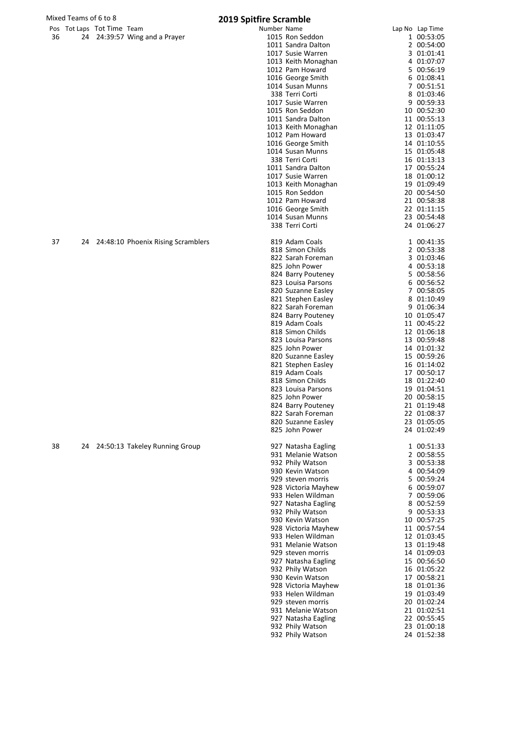|    | Mixed Teams of 6 to 8 |                            |                                    | 2019 Spitfire Scramble |                                         |                            |
|----|-----------------------|----------------------------|------------------------------------|------------------------|-----------------------------------------|----------------------------|
|    |                       | Pos Tot Laps Tot Time Team |                                    | Number Name            |                                         | Lap No Lap Time            |
| 36 |                       |                            | 24 24:39:57 Wing and a Prayer      |                        | 1015 Ron Seddon                         | 1 00:53:05                 |
|    |                       |                            |                                    |                        | 1011 Sandra Dalton                      | 2 00:54:00                 |
|    |                       |                            |                                    |                        | 1017 Susie Warren                       | 3 01:01:41                 |
|    |                       |                            |                                    |                        | 1013 Keith Monaghan                     | 4 01:07:07                 |
|    |                       |                            |                                    |                        | 1012 Pam Howard                         | 5 00:56:19                 |
|    |                       |                            |                                    |                        | 1016 George Smith                       | 6 01:08:41<br>7 00:51:51   |
|    |                       |                            |                                    |                        | 1014 Susan Munns<br>338 Terri Corti     | 8 01:03:46                 |
|    |                       |                            |                                    |                        | 1017 Susie Warren                       | 9 00:59:33                 |
|    |                       |                            |                                    |                        | 1015 Ron Seddon                         | 10 00:52:30                |
|    |                       |                            |                                    |                        | 1011 Sandra Dalton                      | 11 00:55:13                |
|    |                       |                            |                                    |                        | 1013 Keith Monaghan                     | 12 01:11:05                |
|    |                       |                            |                                    |                        | 1012 Pam Howard                         | 13 01:03:47                |
|    |                       |                            |                                    |                        | 1016 George Smith                       | 14 01:10:55                |
|    |                       |                            |                                    |                        | 1014 Susan Munns                        | 15 01:05:48                |
|    |                       |                            |                                    |                        | 338 Terri Corti                         | 16 01:13:13                |
|    |                       |                            |                                    |                        | 1011 Sandra Dalton                      | 17 00:55:24                |
|    |                       |                            |                                    |                        | 1017 Susie Warren                       | 18 01:00:12                |
|    |                       |                            |                                    |                        | 1013 Keith Monaghan                     | 19 01:09:49                |
|    |                       |                            |                                    |                        | 1015 Ron Seddon                         | 20 00:54:50                |
|    |                       |                            |                                    |                        | 1012 Pam Howard                         | 21 00:58:38                |
|    |                       |                            |                                    |                        | 1016 George Smith                       | 22 01:11:15                |
|    |                       |                            |                                    |                        | 1014 Susan Munns                        | 23 00:54:48                |
|    |                       |                            |                                    |                        | 338 Terri Corti                         | 24 01:06:27                |
| 37 | 24                    |                            | 24:48:10 Phoenix Rising Scramblers |                        | 819 Adam Coals                          | 1 00:41:35                 |
|    |                       |                            |                                    |                        | 818 Simon Childs                        | 2 00:53:38                 |
|    |                       |                            |                                    |                        | 822 Sarah Foreman                       | 3 01:03:46                 |
|    |                       |                            |                                    |                        | 825 John Power                          | 4 00:53:18                 |
|    |                       |                            |                                    |                        | 824 Barry Pouteney                      | 5 00:58:56                 |
|    |                       |                            |                                    |                        | 823 Louisa Parsons                      | 6 00:56:52                 |
|    |                       |                            |                                    |                        | 820 Suzanne Easley                      | 7 00:58:05<br>8 01:10:49   |
|    |                       |                            |                                    |                        | 821 Stephen Easley<br>822 Sarah Foreman | 9 01:06:34                 |
|    |                       |                            |                                    |                        | 824 Barry Pouteney                      | 10 01:05:47                |
|    |                       |                            |                                    |                        | 819 Adam Coals                          | 11 00:45:22                |
|    |                       |                            |                                    |                        | 818 Simon Childs                        | 12 01:06:18                |
|    |                       |                            |                                    |                        | 823 Louisa Parsons                      | 13 00:59:48                |
|    |                       |                            |                                    |                        | 825 John Power                          | 14 01:01:32                |
|    |                       |                            |                                    |                        | 820 Suzanne Easley                      | 15 00:59:26                |
|    |                       |                            |                                    |                        | 821 Stephen Easley                      | 16 01:14:02                |
|    |                       |                            |                                    |                        | 819 Adam Coals                          | 17 00:50:17                |
|    |                       |                            |                                    |                        | 818 Simon Childs                        | 18 01:22:40                |
|    |                       |                            |                                    |                        | 823 Louisa Parsons                      | 19 01:04:51                |
|    |                       |                            |                                    |                        | 825 John Power                          | 20 00:58:15                |
|    |                       |                            |                                    |                        | 824 Barry Pouteney                      | 21 01:19:48                |
|    |                       |                            |                                    |                        | 822 Sarah Foreman                       | 22 01:08:37                |
|    |                       |                            |                                    |                        | 820 Suzanne Easley                      | 23 01:05:05                |
|    |                       |                            |                                    |                        | 825 John Power                          | 24 01:02:49                |
| 38 |                       |                            | 24 24:50:13 Takeley Running Group  |                        | 927 Natasha Eagling                     | 1 00:51:33                 |
|    |                       |                            |                                    |                        | 931 Melanie Watson                      | 2 00:58:55                 |
|    |                       |                            |                                    |                        | 932 Phily Watson                        | 3 00:53:38                 |
|    |                       |                            |                                    |                        | 930 Kevin Watson                        | 4 00:54:09                 |
|    |                       |                            |                                    |                        | 929 steven morris                       | 5 00:59:24                 |
|    |                       |                            |                                    |                        | 928 Victoria Mayhew                     | 6 00:59:07                 |
|    |                       |                            |                                    |                        | 933 Helen Wildman                       | 7 00:59:06                 |
|    |                       |                            |                                    |                        | 927 Natasha Eagling                     | 8 00:52:59                 |
|    |                       |                            |                                    |                        | 932 Phily Watson                        | 9 00:53:33                 |
|    |                       |                            |                                    |                        | 930 Kevin Watson                        | 10 00:57:25                |
|    |                       |                            |                                    |                        | 928 Victoria Mayhew                     | 11 00:57:54                |
|    |                       |                            |                                    |                        | 933 Helen Wildman<br>931 Melanie Watson | 12 01:03:45                |
|    |                       |                            |                                    |                        |                                         | 13 01:19:48                |
|    |                       |                            |                                    |                        | 929 steven morris                       | 14 01:09:03                |
|    |                       |                            |                                    |                        | 927 Natasha Eagling                     | 15 00:56:50                |
|    |                       |                            |                                    |                        | 932 Phily Watson<br>930 Kevin Watson    | 16 01:05:22<br>17 00:58:21 |
|    |                       |                            |                                    |                        | 928 Victoria Mayhew                     | 18 01:01:36                |
|    |                       |                            |                                    |                        | 933 Helen Wildman                       | 19 01:03:49                |
|    |                       |                            |                                    |                        |                                         |                            |

19 01:03:49<br>20 01:02:24 929 steven morris 1992 10 1:02:24<br>1931 Melanie Watson 1993 101:02:51 931 Melanie Watson 21 01:02:51 927 Natasha Eagling 22 00:55:45<br>932 Phily Watson 23 01:00:18 932 Phily Watson 23 01:00:18<br>932 Phily Watson 24 01:52:38 932 Phily Watson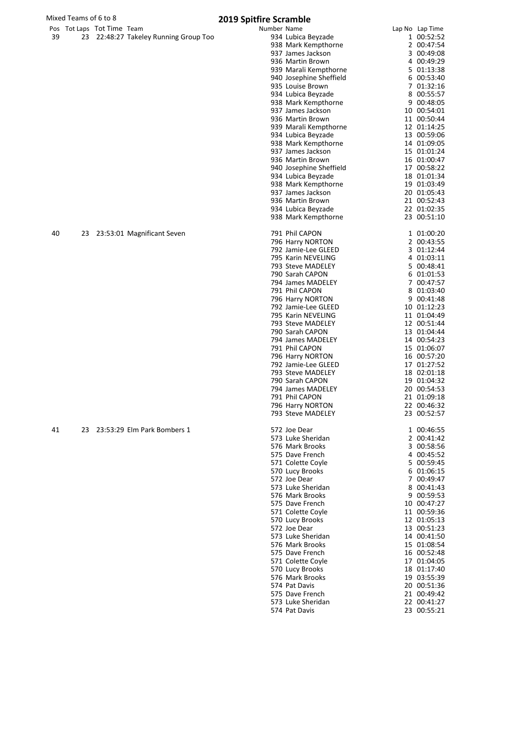|    | Mixed Teams of 6 to 8      |                                       | 2019 Spitfire Scramble |                                         |                            |
|----|----------------------------|---------------------------------------|------------------------|-----------------------------------------|----------------------------|
|    | Pos Tot Laps Tot Time Team |                                       | Number Name            |                                         | Lap No Lap Time            |
| 39 |                            | 23 22:48:27 Takeley Running Group Too |                        | 934 Lubica Beyzade                      | 1 00:52:52                 |
|    |                            |                                       |                        | 938 Mark Kempthorne                     | 2 00:47:54                 |
|    |                            |                                       |                        | 937 James Jackson                       | 3 00:49:08                 |
|    |                            |                                       |                        | 936 Martin Brown                        | 4 00:49:29                 |
|    |                            |                                       |                        | 939 Marali Kempthorne                   | 5 01:13:38                 |
|    |                            |                                       |                        | 940 Josephine Sheffield                 | 6 00:53:40                 |
|    |                            |                                       |                        | 935 Louise Brown<br>934 Lubica Beyzade  | 7 01:32:16<br>8 00:55:57   |
|    |                            |                                       |                        | 938 Mark Kempthorne                     | 9 00:48:05                 |
|    |                            |                                       |                        | 937 James Jackson                       | 10 00:54:01                |
|    |                            |                                       |                        | 936 Martin Brown                        | 11 00:50:44                |
|    |                            |                                       |                        | 939 Marali Kempthorne                   | 12 01:14:25                |
|    |                            |                                       |                        | 934 Lubica Beyzade                      | 13 00:59:06                |
|    |                            |                                       |                        | 938 Mark Kempthorne                     | 14 01:09:05                |
|    |                            |                                       |                        | 937 James Jackson                       | 15 01:01:24                |
|    |                            |                                       |                        | 936 Martin Brown                        | 16 01:00:47                |
|    |                            |                                       |                        | 940 Josephine Sheffield                 | 17 00:58:22                |
|    |                            |                                       |                        | 934 Lubica Beyzade                      | 18 01:01:34                |
|    |                            |                                       |                        | 938 Mark Kempthorne                     | 19 01:03:49                |
|    |                            |                                       |                        | 937 James Jackson                       | 20 01:05:43                |
|    |                            |                                       |                        | 936 Martin Brown                        | 21 00:52:43                |
|    |                            |                                       |                        | 934 Lubica Beyzade                      | 22 01:02:35                |
|    |                            |                                       |                        | 938 Mark Kempthorne                     | 23 00:51:10                |
| 40 |                            | 23 23:53:01 Magnificant Seven         |                        | 791 Phil CAPON                          | 1 01:00:20                 |
|    |                            |                                       |                        | 796 Harry NORTON                        | 2 00:43:55                 |
|    |                            |                                       |                        | 792 Jamie-Lee GLEED                     | 3 01:12:44                 |
|    |                            |                                       |                        | 795 Karin NEVELING                      | 4 01:03:11                 |
|    |                            |                                       |                        | 793 Steve MADELEY                       | 5 00:48:41                 |
|    |                            |                                       |                        | 790 Sarah CAPON                         | 6 01:01:53                 |
|    |                            |                                       |                        | 794 James MADELEY                       | 7 00:47:57                 |
|    |                            |                                       |                        | 791 Phil CAPON                          | 8 01:03:40                 |
|    |                            |                                       |                        | 796 Harry NORTON                        | 9 00:41:48                 |
|    |                            |                                       |                        | 792 Jamie-Lee GLEED                     | 10 01:12:23                |
|    |                            |                                       |                        | 795 Karin NEVELING<br>793 Steve MADELEY | 11 01:04:49<br>12 00:51:44 |
|    |                            |                                       |                        | 790 Sarah CAPON                         | 13 01:04:44                |
|    |                            |                                       |                        | 794 James MADELEY                       | 14 00:54:23                |
|    |                            |                                       |                        | 791 Phil CAPON                          | 15 01:06:07                |
|    |                            |                                       |                        | 796 Harry NORTON                        | 16 00:57:20                |
|    |                            |                                       |                        | 792 Jamie-Lee GLEED                     | 17 01:27:52                |
|    |                            |                                       |                        | 793 Steve MADELEY                       | 18 02:01:18                |
|    |                            |                                       |                        | 790 Sarah CAPON                         | 19 01:04:32                |
|    |                            |                                       |                        | 794 James MADELEY                       | 20 00:54:53                |
|    |                            |                                       |                        | 791 Phil CAPON                          | 21 01:09:18                |
|    |                            |                                       |                        | 796 Harry NORTON                        | 22 00:46:32                |
|    |                            |                                       |                        | 793 Steve MADELEY                       | 23 00:52:57                |
| 41 |                            | 23 23:53:29 Elm Park Bombers 1        |                        | 572 Joe Dear                            | 1 00:46:55                 |
|    |                            |                                       |                        | 573 Luke Sheridan                       | 2 00:41:42                 |
|    |                            |                                       |                        | 576 Mark Brooks                         | 3 00:58:56                 |
|    |                            |                                       |                        | 575 Dave French                         | 4 00:45:52                 |
|    |                            |                                       |                        | 571 Colette Coyle                       | 5 00:59:45                 |
|    |                            |                                       |                        | 570 Lucy Brooks                         | 6 01:06:15                 |
|    |                            |                                       |                        | 572 Joe Dear                            | 7 00:49:47                 |
|    |                            |                                       |                        | 573 Luke Sheridan                       | 8 00:41:43                 |
|    |                            |                                       |                        | 576 Mark Brooks                         | 9 00:59:53                 |
|    |                            |                                       |                        | 575 Dave French<br>571 Colette Coyle    | 10 00:47:27<br>11 00:59:36 |
|    |                            |                                       |                        | 570 Lucy Brooks                         | 12 01:05:13                |
|    |                            |                                       |                        | 572 Joe Dear                            | 13 00:51:23                |
|    |                            |                                       |                        | 573 Luke Sheridan                       | 14 00:41:50                |
|    |                            |                                       |                        | 576 Mark Brooks                         | 15 01:08:54                |
|    |                            |                                       |                        | 575 Dave French                         | 16 00:52:48                |
|    |                            |                                       |                        | 571 Colette Coyle                       | 17 01:04:05                |
|    |                            |                                       |                        | 570 Lucy Brooks                         | 18 01:17:40                |
|    |                            |                                       |                        | 576 Mark Brooks                         | 19 03:55:39                |
|    |                            |                                       |                        | 574 Pat Davis                           | 20 00:51:36                |

 Dave French 21 00:49:42 Luke Sheridan 22 00:41:27 Pat Davis 23 00:55:21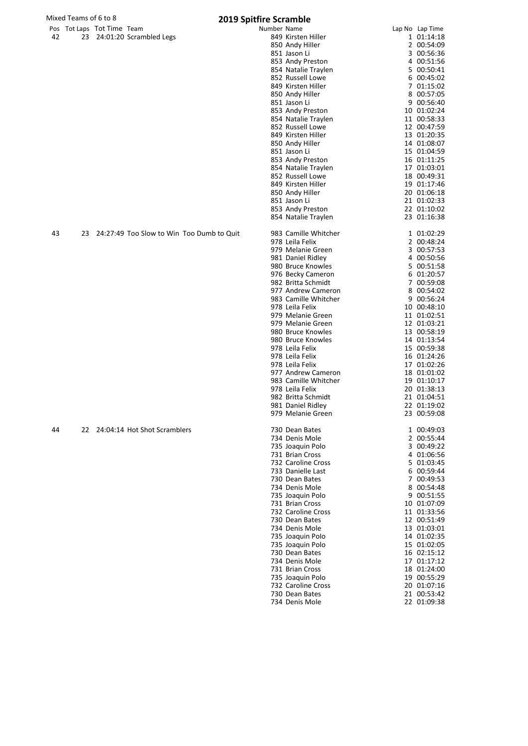|    | Mixed Teams of 6 to 8 |                            |                                 | <b>2019 Spitfire Scramble</b>             |                      |                 |
|----|-----------------------|----------------------------|---------------------------------|-------------------------------------------|----------------------|-----------------|
|    |                       | Pos Tot Laps Tot Time Team |                                 | Number Name                               |                      | Lap No Lap Time |
| 42 |                       |                            | 23 24:01:20 Scrambled Legs      |                                           | 849 Kirsten Hiller   | 1 01:14:18      |
|    |                       |                            |                                 |                                           | 850 Andy Hiller      | 2 00:54:09      |
|    |                       |                            |                                 |                                           | 851 Jason Li         | 3 00:56:36      |
|    |                       |                            |                                 |                                           | 853 Andy Preston     | 4 00:51:56      |
|    |                       |                            |                                 |                                           | 854 Natalie Traylen  | 5 00:50:41      |
|    |                       |                            |                                 |                                           | 852 Russell Lowe     | 6 00:45:02      |
|    |                       |                            |                                 |                                           | 849 Kirsten Hiller   | 7 01:15:02      |
|    |                       |                            |                                 |                                           | 850 Andy Hiller      | 8 00:57:05      |
|    |                       |                            |                                 |                                           | 851 Jason Li         | 9 00:56:40      |
|    |                       |                            |                                 |                                           | 853 Andy Preston     | 10 01:02:24     |
|    |                       |                            |                                 |                                           | 854 Natalie Traylen  | 11 00:58:33     |
|    |                       |                            |                                 |                                           | 852 Russell Lowe     | 12 00:47:59     |
|    |                       |                            |                                 |                                           | 849 Kirsten Hiller   | 13 01:20:35     |
|    |                       |                            |                                 |                                           | 850 Andy Hiller      | 14 01:08:07     |
|    |                       |                            |                                 |                                           | 851 Jason Li         | 15 01:04:59     |
|    |                       |                            |                                 |                                           | 853 Andy Preston     | 16 01:11:25     |
|    |                       |                            |                                 |                                           | 854 Natalie Traylen  | 17 01:03:01     |
|    |                       |                            |                                 |                                           | 852 Russell Lowe     | 18 00:49:31     |
|    |                       |                            |                                 |                                           | 849 Kirsten Hiller   | 19 01:17:46     |
|    |                       |                            |                                 |                                           | 850 Andy Hiller      | 20 01:06:18     |
|    |                       |                            |                                 |                                           | 851 Jason Li         | 21 01:02:33     |
|    |                       |                            |                                 |                                           | 853 Andy Preston     | 22 01:10:02     |
|    |                       |                            |                                 |                                           | 854 Natalie Traylen  | 23 01:16:38     |
|    |                       |                            |                                 |                                           |                      |                 |
| 43 | 23                    |                            |                                 | 24:27:49 Too Slow to Win Too Dumb to Quit | 983 Camille Whitcher | 1 01:02:29      |
|    |                       |                            |                                 |                                           | 978 Leila Felix      | 2 00:48:24      |
|    |                       |                            |                                 |                                           | 979 Melanie Green    | 3 00:57:53      |
|    |                       |                            |                                 |                                           | 981 Daniel Ridley    | 4 00:50:56      |
|    |                       |                            |                                 |                                           | 980 Bruce Knowles    | 5 00:51:58      |
|    |                       |                            |                                 |                                           | 976 Becky Cameron    | 6 01:20:57      |
|    |                       |                            |                                 |                                           | 982 Britta Schmidt   | 7 00:59:08      |
|    |                       |                            |                                 |                                           | 977 Andrew Cameron   | 8 00:54:02      |
|    |                       |                            |                                 |                                           | 983 Camille Whitcher | 9 00:56:24      |
|    |                       |                            |                                 |                                           | 978 Leila Felix      | 10 00:48:10     |
|    |                       |                            |                                 |                                           | 979 Melanie Green    | 11 01:02:51     |
|    |                       |                            |                                 |                                           | 979 Melanie Green    | 12 01:03:21     |
|    |                       |                            |                                 |                                           | 980 Bruce Knowles    | 13 00:58:19     |
|    |                       |                            |                                 |                                           | 980 Bruce Knowles    | 14 01:13:54     |
|    |                       |                            |                                 |                                           | 978 Leila Felix      | 15 00:59:38     |
|    |                       |                            |                                 |                                           | 978 Leila Felix      | 16 01:24:26     |
|    |                       |                            |                                 |                                           | 978 Leila Felix      | 17 01:02:26     |
|    |                       |                            |                                 |                                           | 977 Andrew Cameron   | 18 01:01:02     |
|    |                       |                            |                                 |                                           | 983 Camille Whitcher | 19 01:10:17     |
|    |                       |                            |                                 |                                           | 978 Leila Felix      | 20 01:38:13     |
|    |                       |                            |                                 |                                           | 982 Britta Schmidt   | 21 01:04:51     |
|    |                       |                            |                                 |                                           | 981 Daniel Ridley    | 22 01:19:02     |
|    |                       |                            |                                 |                                           | 979 Melanie Green    | 23 00:59:08     |
|    |                       |                            |                                 |                                           |                      |                 |
| 44 |                       |                            | 22 24:04:14 Hot Shot Scramblers |                                           | 730 Dean Bates       | 1 00:49:03      |
|    |                       |                            |                                 |                                           | 734 Denis Mole       | 2 00:55:44      |
|    |                       |                            |                                 |                                           | 735 Joaquin Polo     | 3 00:49:22      |
|    |                       |                            |                                 |                                           | 731 Brian Cross      | 4 01:06:56      |
|    |                       |                            |                                 |                                           | 732 Caroline Cross   | 5 01:03:45      |
|    |                       |                            |                                 |                                           | 733 Danielle Last    | 6 00:59:44      |
|    |                       |                            |                                 |                                           | 730 Dean Bates       | 7 00:49:53      |
|    |                       |                            |                                 |                                           | 734 Denis Mole       | 8 00:54:48      |
|    |                       |                            |                                 |                                           | 735 Joaquin Polo     | 9 00:51:55      |
|    |                       |                            |                                 |                                           | 731 Brian Cross      | 10 01:07:09     |
|    |                       |                            |                                 |                                           | 732 Caroline Cross   | 11 01:33:56     |
|    |                       |                            |                                 |                                           | 730 Dean Bates       | 12 00:51:49     |
|    |                       |                            |                                 |                                           | 734 Denis Mole       | 13 01:03:01     |
|    |                       |                            |                                 |                                           | 735 Joaquin Polo     | 14 01:02:35     |
|    |                       |                            |                                 |                                           | 735 Joaquin Polo     | 15 01:02:05     |
|    |                       |                            |                                 |                                           | 730 Dean Bates       | 16 02:15:12     |
|    |                       |                            |                                 |                                           | 734 Denis Mole       | 17 01:17:12     |
|    |                       |                            |                                 |                                           | 731 Brian Cross      | 18 01:24:00     |
|    |                       |                            |                                 |                                           | 735 Joaquin Polo     | 19 00:55:29     |
|    |                       |                            |                                 |                                           | 732 Caroline Cross   | 20 01:07:16     |
|    |                       |                            |                                 |                                           | 730 Dean Bates       | 21 00:53:42     |
|    |                       |                            |                                 |                                           | 734 Denis Mole       | 22 01:09:38     |
|    |                       |                            |                                 |                                           |                      |                 |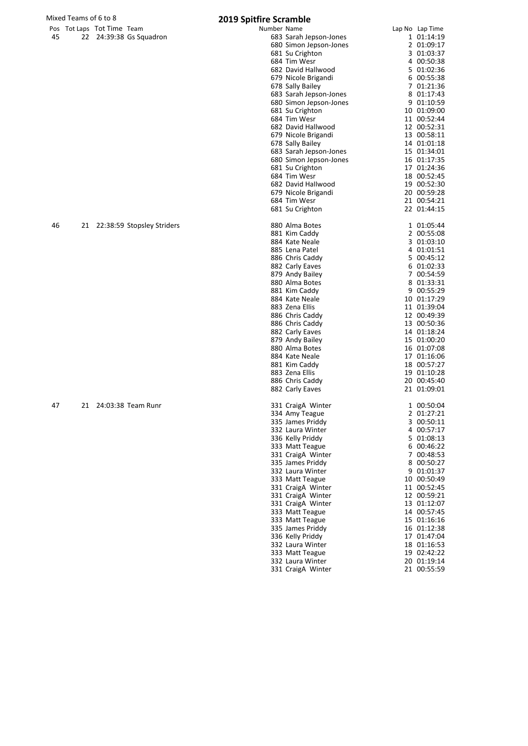| Mixed Teams of 6 to 8 |                            |  |                               | <b>2019 Spitfire Scramble</b> |                                           |                            |
|-----------------------|----------------------------|--|-------------------------------|-------------------------------|-------------------------------------------|----------------------------|
|                       | Pos Tot Laps Tot Time Team |  |                               | Number Name                   |                                           | Lap No Lap Time            |
| 45                    |                            |  | 22 24:39:38 Gs Squadron       |                               | 683 Sarah Jepson-Jones                    | 1 01:14:19                 |
|                       |                            |  |                               |                               | 680 Simon Jepson-Jones                    | 2 01:09:17                 |
|                       |                            |  |                               |                               | 681 Su Crighton                           | 3 01:03:37                 |
|                       |                            |  |                               |                               | 684 Tim Wesr                              | 4 00:50:38                 |
|                       |                            |  |                               |                               | 682 David Hallwood                        | 5 01:02:36                 |
|                       |                            |  |                               |                               | 679 Nicole Brigandi                       | 6 00:55:38                 |
|                       |                            |  |                               |                               | 678 Sally Bailey                          | 7 01:21:36                 |
|                       |                            |  |                               |                               | 683 Sarah Jepson-Jones                    | 8 01:17:43                 |
|                       |                            |  |                               |                               | 680 Simon Jepson-Jones                    | 9 01:10:59                 |
|                       |                            |  |                               |                               | 681 Su Crighton                           | 10 01:09:00                |
|                       |                            |  |                               |                               | 684 Tim Wesr                              | 11 00:52:44                |
|                       |                            |  |                               |                               | 682 David Hallwood                        | 12 00:52:31                |
|                       |                            |  |                               |                               | 679 Nicole Brigandi                       | 13 00:58:11                |
|                       |                            |  |                               |                               | 678 Sally Bailey                          | 14 01:01:18                |
|                       |                            |  |                               |                               | 683 Sarah Jepson-Jones                    | 15 01:34:01                |
|                       |                            |  |                               |                               | 680 Simon Jepson-Jones                    | 16 01:17:35                |
|                       |                            |  |                               |                               | 681 Su Crighton                           | 17 01:24:36                |
|                       |                            |  |                               |                               | 684 Tim Wesr                              | 18 00:52:45                |
|                       |                            |  |                               |                               | 682 David Hallwood<br>679 Nicole Brigandi | 19 00:52:30                |
|                       |                            |  |                               |                               |                                           | 20 00:59:28<br>21 00:54:21 |
|                       |                            |  |                               |                               | 684 Tim Wesr<br>681 Su Crighton           | 22 01:44:15                |
|                       |                            |  |                               |                               |                                           |                            |
| 46                    |                            |  | 21 22:38:59 Stopsley Striders |                               | 880 Alma Botes                            | 1 01:05:44                 |
|                       |                            |  |                               |                               | 881 Kim Caddy                             | 2 00:55:08                 |
|                       |                            |  |                               |                               | 884 Kate Neale                            | 3 01:03:10                 |
|                       |                            |  |                               |                               | 885 Lena Patel                            | 4 01:01:51                 |
|                       |                            |  |                               |                               | 886 Chris Caddy                           | 5 00:45:12                 |
|                       |                            |  |                               |                               | 882 Carly Eaves                           | 6 01:02:33                 |
|                       |                            |  |                               |                               | 879 Andy Bailey                           | 7 00:54:59                 |
|                       |                            |  |                               |                               | 880 Alma Botes                            | 8 01:33:31                 |
|                       |                            |  |                               |                               | 881 Kim Caddy                             | 9 00:55:29                 |
|                       |                            |  |                               |                               | 884 Kate Neale                            | 10 01:17:29                |
|                       |                            |  |                               |                               | 883 Zena Ellis                            | 11 01:39:04                |
|                       |                            |  |                               |                               | 886 Chris Caddy                           | 12 00:49:39                |
|                       |                            |  |                               |                               | 886 Chris Caddy                           | 13 00:50:36                |
|                       |                            |  |                               |                               | 882 Carly Eaves                           | 14 01:18:24                |
|                       |                            |  |                               |                               | 879 Andy Bailey                           | 15 01:00:20                |
|                       |                            |  |                               |                               | 880 Alma Botes                            | 16 01:07:08                |
|                       |                            |  |                               |                               | 884 Kate Neale                            | 17 01:16:06                |
|                       |                            |  |                               |                               | 881 Kim Caddy                             | 18 00:57:27                |
|                       |                            |  |                               |                               | 883 Zena Ellis                            | 19 01:10:28                |
|                       |                            |  |                               |                               | 886 Chris Caddy                           | 20 00:45:40                |
|                       |                            |  |                               |                               | 882 Carly Eaves                           | 21 01:09:01                |
| 47                    |                            |  | 21 24:03:38 Team Runr         |                               | 331 Craig Winter                          | 1 00:50:04                 |
|                       |                            |  |                               |                               | 334 Amy Teague                            | 2 01:27:21                 |
|                       |                            |  |                               |                               | 335 James Priddy                          | 3 00:50:11                 |
|                       |                            |  |                               |                               | 332 Laura Winter                          | 4 00:57:17                 |
|                       |                            |  |                               |                               | 336 Kelly Priddy                          | 5 01:08:13                 |
|                       |                            |  |                               |                               | 333 Matt Teague                           | 6 00:46:22                 |
|                       |                            |  |                               |                               | 331 CraigA Winter                         | 7 00:48:53                 |
|                       |                            |  |                               |                               | 335 James Priddy                          | 8 00:50:27                 |
|                       |                            |  |                               |                               | 332 Laura Winter                          | 9 01:01:37                 |
|                       |                            |  |                               |                               | 333 Matt Teague                           | 10 00:50:49                |
|                       |                            |  |                               |                               | 331 CraigA Winter                         | 11 00:52:45                |
|                       |                            |  |                               |                               | 331 CraigA Winter                         | 12 00:59:21                |
|                       |                            |  |                               |                               | 331 CraigA Winter                         | 13 01:12:07                |
|                       |                            |  |                               |                               | 333 Matt Teague                           | 14 00:57:45                |
|                       |                            |  |                               |                               | 333 Matt Teague                           | 15 01:16:16                |
|                       |                            |  |                               |                               | 335 James Priddy                          | 16 01:12:38                |
|                       |                            |  |                               |                               | 336 Kelly Priddy                          | 17 01:47:04                |
|                       |                            |  |                               |                               | 332 Laura Winter                          | 18 01:16:53                |
|                       |                            |  |                               |                               | 333 Matt Teague                           | 19 02:42:22                |
|                       |                            |  |                               |                               | 332 Laura Winter                          | 20 01:19:14                |
|                       |                            |  |                               |                               | 331 CraigÄ Winter                         | 21 00:55:59                |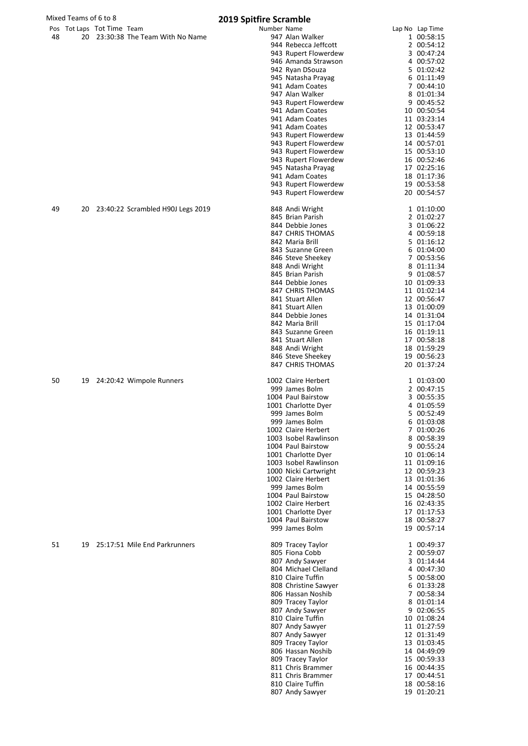|    | Mixed Teams of 6 to 8 |                            |                                   | <b>2019 Spitfire Scramble</b>                                                                                                                                                                                                                                                                                                                                                                                                                                  |                                                                                                                                                                                                                                                                                                                    |  |  |
|----|-----------------------|----------------------------|-----------------------------------|----------------------------------------------------------------------------------------------------------------------------------------------------------------------------------------------------------------------------------------------------------------------------------------------------------------------------------------------------------------------------------------------------------------------------------------------------------------|--------------------------------------------------------------------------------------------------------------------------------------------------------------------------------------------------------------------------------------------------------------------------------------------------------------------|--|--|
| 48 |                       | Pos Tot Laps Tot Time Team | 20 23:30:38 The Team With No Name | Number Name<br>947 Alan Walker<br>944 Rebecca Jeffcott<br>943 Rupert Flowerdew<br>946 Amanda Strawson<br>942 Ryan DSouza<br>945 Natasha Prayag<br>941 Adam Coates<br>947 Alan Walker<br>943 Rupert Flowerdew<br>941 Adam Coates<br>941 Adam Coates<br>941 Adam Coates<br>943 Rupert Flowerdew<br>943 Rupert Flowerdew<br>943 Rupert Flowerdew<br>943 Rupert Flowerdew<br>945 Natasha Prayag<br>941 Adam Coates<br>943 Rupert Flowerdew<br>943 Rupert Flowerdew | Lap No Lap Time<br>1 00:58:15<br>2 00:54:12<br>3 00:47:24<br>4 00:57:02<br>5 01:02:42<br>6 01:11:49<br>7 00:44:10<br>8 01:01:34<br>9 00:45:52<br>10 00:50:54<br>11 03:23:14<br>12 00:53:47<br>13 01:44:59<br>14 00:57:01<br>15 00:53:10<br>16 00:52:46<br>17 02:25:16<br>18 01:17:36<br>19 00:53:58<br>20 00:54:57 |  |  |
| 49 | 20                    |                            | 23:40:22 Scrambled H90J Legs 2019 | 848 Andi Wright<br>845 Brian Parish<br>844 Debbie Jones<br>847 CHRIS THOMAS<br>842 Maria Brill<br>843 Suzanne Green<br>846 Steve Sheekey<br>848 Andi Wright<br>845 Brian Parish<br>844 Debbie Jones<br>847 CHRIS THOMAS<br>841 Stuart Allen<br>841 Stuart Allen<br>844 Debbie Jones<br>842 Maria Brill<br>843 Suzanne Green<br>841 Stuart Allen<br>848 Andi Wright<br>846 Steve Sheekey<br><b>847 CHRIS THOMAS</b>                                             | 1 01:10:00<br>2 01:02:27<br>3 01:06:22<br>4 00:59:18<br>5 01:16:12<br>6 01:04:00<br>7 00:53:56<br>8 01:11:34<br>9 01:08:57<br>10 01:09:33<br>11 01:02:14<br>12 00:56:47<br>13 01:00:09<br>14 01:31:04<br>15 01:17:04<br>16 01:19:11<br>17 00:58:18<br>18 01:59:29<br>19 00:56:23<br>20 01:37:24                    |  |  |
| 50 | 19                    |                            | 24:20:42 Wimpole Runners          | 1002 Claire Herbert<br>999 James Bolm<br>1004 Paul Bairstow<br>1001 Charlotte Dyer<br>999 James Bolm<br>999 James Bolm<br>1002 Claire Herbert<br>1003 Isobel Rawlinson<br>1004 Paul Bairstow<br>1001 Charlotte Dyer<br>1003 Isobel Rawlinson<br>1000 Nicki Cartwright<br>1002 Claire Herbert<br>999 James Bolm<br>1004 Paul Bairstow<br>1002 Claire Herbert<br>1001 Charlotte Dyer<br>1004 Paul Bairstow<br>999 James Bolm                                     | 1 01:03:00<br>2 00:47:15<br>3 00:55:35<br>4 01:05:59<br>5 00:52:49<br>6 01:03:08<br>7 01:00:26<br>8 00:58:39<br>9 00:55:24<br>10 01:06:14<br>11 01:09:16<br>12 00:59:23<br>13 01:01:36<br>14 00:55:59<br>15 04:28:50<br>16 02:43:35<br>17 01:17:53<br>18 00:58:27<br>19 00:57:14                                   |  |  |
| 51 | 19                    |                            | 25:17:51 Mile End Parkrunners     | 809 Tracey Taylor<br>805 Fiona Cobb<br>807 Andy Sawyer<br>804 Michael Clelland<br>810 Claire Tuffin<br>808 Christine Sawyer<br>806 Hassan Noshib<br>809 Tracey Taylor<br>807 Andy Sawyer<br>810 Claire Tuffin<br>807 Andy Sawyer<br>807 Andy Sawyer<br>809 Tracey Taylor<br>806 Hassan Noshib<br>809 Tracey Taylor<br>811 Chris Brammer<br>811 Chris Brammer<br>810 Claire Tuffin<br>807 Andy Sawyer                                                           | 1 00:49:37<br>2 00:59:07<br>3 01:14:44<br>4 00:47:30<br>5 00:58:00<br>6 01:33:28<br>7 00:58:34<br>8 01:01:14<br>9 02:06:55<br>10 01:08:24<br>11 01:27:59<br>12 01:31:49<br>13 01:03:45<br>14 04:49:09<br>15 00:59:33<br>16 00:44:35<br>17 00:44:51<br>18 00:58:16<br>19 01:20:21                                   |  |  |

807 Andy Sawyer